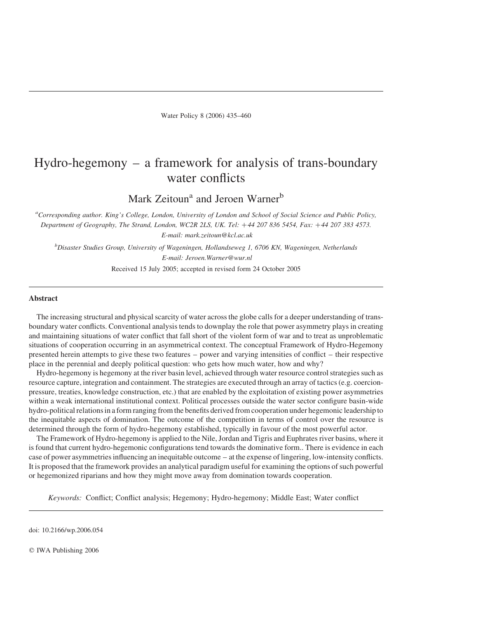# Hydro-hegemony – a framework for analysis of trans-boundary water conflicts

Mark Zeitoun<sup>a</sup> and Jeroen Warner<sup>b</sup>

<sup>a</sup>Corresponding author. King's College, London, University of London and School of Social Science and Public Policy, Department of Geography, The Strand, London, WC2R 2LS, UK. Tel:  $+44$  207 836 5454, Fax:  $+44$  207 383 4573. E-mail: mark.zeitoun@kcl.ac.uk

<sup>b</sup>Disaster Studies Group, University of Wageningen, Hollandseweg 1, 6706 KN, Wageningen, Netherlands E-mail: Jeroen.Warner@wur.nl

Received 15 July 2005; accepted in revised form 24 October 2005

#### Abstract

The increasing structural and physical scarcity of water across the globe calls for a deeper understanding of transboundary water conflicts. Conventional analysis tends to downplay the role that power asymmetry plays in creating and maintaining situations of water conflict that fall short of the violent form of war and to treat as unproblematic situations of cooperation occurring in an asymmetrical context. The conceptual Framework of Hydro-Hegemony presented herein attempts to give these two features – power and varying intensities of conflict – their respective place in the perennial and deeply political question: who gets how much water, how and why?

Hydro-hegemony is hegemony at the river basin level, achieved through water resource control strategies such as resource capture, integration and containment. The strategies are executed through an array of tactics (e.g. coercionpressure, treaties, knowledge construction, etc.) that are enabled by the exploitation of existing power asymmetries within a weak international institutional context. Political processes outside the water sector configure basin-wide hydro-political relations in a form ranging from the benefits derived from cooperation under hegemonic leadership to the inequitable aspects of domination. The outcome of the competition in terms of control over the resource is determined through the form of hydro-hegemony established, typically in favour of the most powerful actor.

The Framework of Hydro-hegemony is applied to the Nile, Jordan and Tigris and Euphrates river basins, where it is found that current hydro-hegemonic configurations tend towards the dominative form.. There is evidence in each case of power asymmetries influencing an inequitable outcome – at the expense of lingering, low-intensity conflicts. It is proposed that the framework provides an analytical paradigm useful for examining the options of such powerful or hegemonized riparians and how they might move away from domination towards cooperation.

Keywords: Conflict; Conflict analysis; Hegemony; Hydro-hegemony; Middle East; Water conflict

 $©$  IWA Publishing 2006

doi: 10.2166/wp.2006.054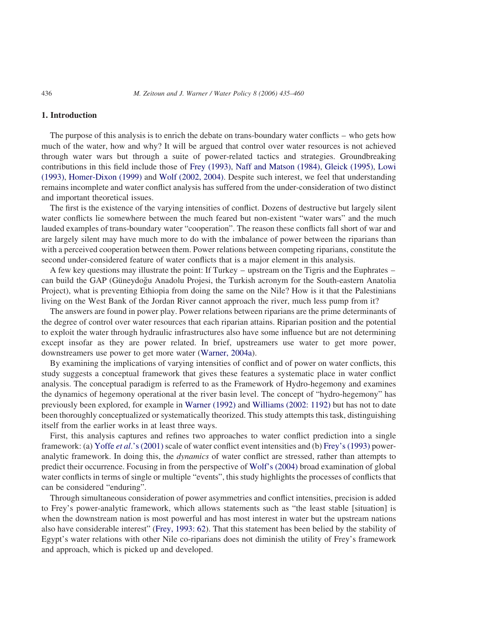# 1. Introduction

The purpose of this analysis is to enrich the debate on trans-boundary water conflicts – who gets how much of the water, how and why? It will be argued that control over water resources is not achieved through water wars but through a suite of power-related tactics and strategies. Groundbreaking contributions in this field include those of [Frey \(1993\),](#page-22-0) [Naff and Matson \(1984\)](#page-23-0), [Gleick \(1995\)](#page-22-0), [Lowi](#page-23-0) [\(1993\)](#page-23-0), [Homer-Dixon \(1999\)](#page-22-0) and [Wolf \(2002, 2004\)](#page-24-0). Despite such interest, we feel that understanding remains incomplete and water conflict analysis has suffered from the under-consideration of two distinct and important theoretical issues.

The first is the existence of the varying intensities of conflict. Dozens of destructive but largely silent water conflicts lie somewhere between the much feared but non-existent "water wars" and the much lauded examples of trans-boundary water "cooperation". The reason these conflicts fall short of war and are largely silent may have much more to do with the imbalance of power between the riparians than with a perceived cooperation between them. Power relations between competing riparians, constitute the second under-considered feature of water conflicts that is a major element in this analysis.

A few key questions may illustrate the point: If Turkey – upstream on the Tigris and the Euphrates – can build the GAP (Güneydoğu Anadolu Projesi, the Turkish acronym for the South-eastern Anatolia Project), what is preventing Ethiopia from doing the same on the Nile? How is it that the Palestinians living on the West Bank of the Jordan River cannot approach the river, much less pump from it?

The answers are found in power play. Power relations between riparians are the prime determinants of the degree of control over water resources that each riparian attains. Riparian position and the potential to exploit the water through hydraulic infrastructures also have some influence but are not determining except insofar as they are power related. In brief, upstreamers use water to get more power, downstreamers use power to get more water [\(Warner, 2004a\)](#page-24-0).

By examining the implications of varying intensities of conflict and of power on water conflicts, this study suggests a conceptual framework that gives these features a systematic place in water conflict analysis. The conceptual paradigm is referred to as the Framework of Hydro-hegemony and examines the dynamics of hegemony operational at the river basin level. The concept of "hydro-hegemony" has previously been explored, for example in [Warner \(1992\)](#page-24-0) and [Williams \(2002: 1192\)](#page-24-0) but has not to date been thoroughly conceptualized or systematically theorized. This study attempts this task, distinguishing itself from the earlier works in at least three ways.

First, this analysis captures and refines two approaches to water conflict prediction into a single framework: (a) Yoffe et al[.'s \(2001\)](#page-24-0) scale of water conflict event intensities and (b) [Frey's \(1993\)](#page-22-0) poweranalytic framework. In doing this, the *dynamics* of water conflict are stressed, rather than attempts to predict their occurrence. Focusing in from the perspective of [Wolf's \(2004\)](#page-24-0) broad examination of global water conflicts in terms of single or multiple "events", this study highlights the processes of conflicts that can be considered "enduring".

Through simultaneous consideration of power asymmetries and conflict intensities, precision is added to Frey's power-analytic framework, which allows statements such as "the least stable [situation] is when the downstream nation is most powerful and has most interest in water but the upstream nations also have considerable interest" [\(Frey, 1993: 62\)](#page-22-0). That this statement has been belied by the stability of Egypt's water relations with other Nile co-riparians does not diminish the utility of Frey's framework and approach, which is picked up and developed.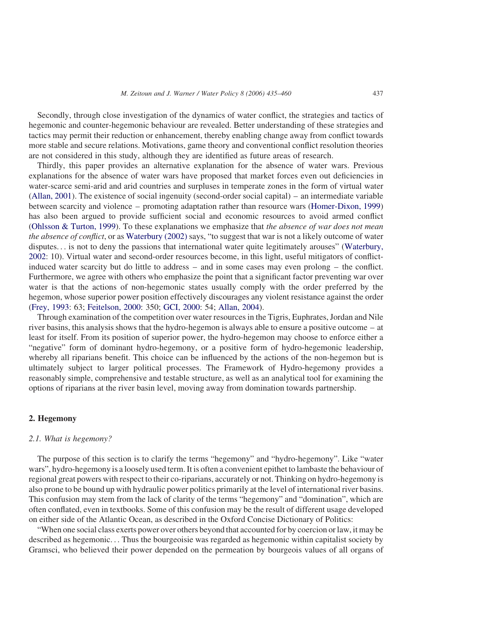Secondly, through close investigation of the dynamics of water conflict, the strategies and tactics of hegemonic and counter-hegemonic behaviour are revealed. Better understanding of these strategies and tactics may permit their reduction or enhancement, thereby enabling change away from conflict towards more stable and secure relations. Motivations, game theory and conventional conflict resolution theories are not considered in this study, although they are identified as future areas of research.

Thirdly, this paper provides an alternative explanation for the absence of water wars. Previous explanations for the absence of water wars have proposed that market forces even out deficiencies in water-scarce semi-arid and arid countries and surpluses in temperate zones in the form of virtual water [\(Allan, 2001](#page-21-0)). The existence of social ingenuity (second-order social capital) – an intermediate variable between scarcity and violence – promoting adaptation rather than resource wars [\(Homer-Dixon, 1999\)](#page-22-0) has also been argued to provide sufficient social and economic resources to avoid armed conflict [\(Ohlsson & Turton, 1999](#page-23-0)). To these explanations we emphasize that the absence of war does not mean the absence of conflict, or as [Waterbury \(2002\)](#page-24-0) says, "to suggest that war is not a likely outcome of water disputes... is not to deny the passions that international water quite legitimately arouses" [\(Waterbury,](#page-24-0) [2002:](#page-24-0) 10). Virtual water and second-order resources become, in this light, useful mitigators of conflictinduced water scarcity but do little to address – and in some cases may even prolong – the conflict. Furthermore, we agree with others who emphasize the point that a significant factor preventing war over water is that the actions of non-hegemonic states usually comply with the order preferred by the hegemon, whose superior power position effectively discourages any violent resistance against the order [\(Frey, 1993](#page-22-0): 63; [Feitelson, 2000](#page-22-0): 350; [GCI, 2000](#page-22-0): 54; [Allan, 2004](#page-21-0)).

Through examination of the competition over water resources in the Tigris, Euphrates, Jordan and Nile river basins, this analysis shows that the hydro-hegemon is always able to ensure a positive outcome – at least for itself. From its position of superior power, the hydro-hegemon may choose to enforce either a "negative" form of dominant hydro-hegemony, or a positive form of hydro-hegemonic leadership, whereby all riparians benefit. This choice can be influenced by the actions of the non-hegemon but is ultimately subject to larger political processes. The Framework of Hydro-hegemony provides a reasonably simple, comprehensive and testable structure, as well as an analytical tool for examining the options of riparians at the river basin level, moving away from domination towards partnership.

# 2. Hegemony

# 2.1. What is hegemony?

The purpose of this section is to clarify the terms "hegemony" and "hydro-hegemony". Like "water wars", hydro-hegemony is a loosely used term. It is often a convenient epithet to lambaste the behaviour of regional great powers with respect to their co-riparians, accurately or not. Thinking on hydro-hegemony is also prone to be bound up with hydraulic power politics primarily at the level of international river basins. This confusion may stem from the lack of clarity of the terms "hegemony" and "domination", which are often conflated, even in textbooks. Some of this confusion may be the result of different usage developed on either side of the Atlantic Ocean, as described in the Oxford Concise Dictionary of Politics:

"When one social class exerts power over others beyond that accounted for by coercion or law, it may be described as hegemonic... Thus the bourgeoisie was regarded as hegemonic within capitalist society by Gramsci, who believed their power depended on the permeation by bourgeois values of all organs of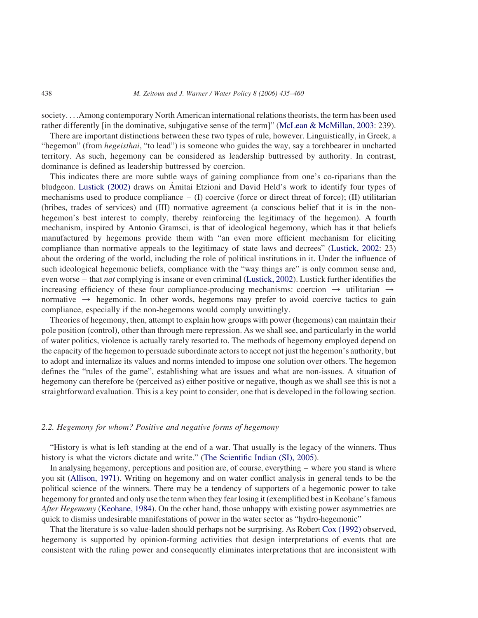society. ...Among contemporary North American international relations theorists, the term has been used rather differently [in the dominative, subjugative sense of the term]" ([McLean & McMillan, 2003](#page-23-0): 239).

There are important distinctions between these two types of rule, however. Linguistically, in Greek, a "hegemon" (from *hegeisthai*, "to lead") is someone who guides the way, say a torchbearer in uncharted territory. As such, hegemony can be considered as leadership buttressed by authority. In contrast, dominance is defined as leadership buttressed by coercion.

This indicates there are more subtle ways of gaining compliance from one's co-riparians than the bludgeon. [Lustick \(2002\)](#page-23-0) draws on Ámitai Etzioni and David Held's work to identify four types of mechanisms used to produce compliance  $- (I)$  coercive (force or direct threat of force); (II) utilitarian (bribes, trades of services) and (III) normative agreement (a conscious belief that it is in the nonhegemon's best interest to comply, thereby reinforcing the legitimacy of the hegemon). A fourth mechanism, inspired by Antonio Gramsci, is that of ideological hegemony, which has it that beliefs manufactured by hegemons provide them with "an even more efficient mechanism for eliciting compliance than normative appeals to the legitimacy of state laws and decrees" [\(Lustick, 2002:](#page-23-0) 23) about the ordering of the world, including the role of political institutions in it. Under the influence of such ideological hegemonic beliefs, compliance with the "way things are" is only common sense and, even worse – that not complying is insane or even criminal ([Lustick, 2002](#page-23-0)). Lustick further identifies the increasing efficiency of these four compliance-producing mechanisms: coercion  $\rightarrow$  utilitarian  $\rightarrow$ normative  $\rightarrow$  hegemonic. In other words, hegemons may prefer to avoid coercive tactics to gain compliance, especially if the non-hegemons would comply unwittingly.

Theories of hegemony, then, attempt to explain how groups with power (hegemons) can maintain their pole position (control), other than through mere repression. As we shall see, and particularly in the world of water politics, violence is actually rarely resorted to. The methods of hegemony employed depend on the capacity of the hegemon to persuade subordinate actors to accept not just the hegemon's authority, but to adopt and internalize its values and norms intended to impose one solution over others. The hegemon defines the "rules of the game", establishing what are issues and what are non-issues. A situation of hegemony can therefore be (perceived as) either positive or negative, though as we shall see this is not a straightforward evaluation. This is a key point to consider, one that is developed in the following section.

# 2.2. Hegemony for whom? Positive and negative forms of hegemony

"History is what is left standing at the end of a war. That usually is the legacy of the winners. Thus history is what the victors dictate and write." ([The Scientific Indian \(SI\), 2005](#page-23-0)).

In analysing hegemony, perceptions and position are, of course, everything – where you stand is where you sit [\(Allison, 1971](#page-21-0)). Writing on hegemony and on water conflict analysis in general tends to be the political science of the winners. There may be a tendency of supporters of a hegemonic power to take hegemony for granted and only use the term when they fear losing it (exemplified best in Keohane's famous After Hegemony [\(Keohane, 1984](#page-23-0)). On the other hand, those unhappy with existing power asymmetries are quick to dismiss undesirable manifestations of power in the water sector as "hydro-hegemonic"

That the literature is so value-laden should perhaps not be surprising. As Robert [Cox \(1992\)](#page-21-0) observed, hegemony is supported by opinion-forming activities that design interpretations of events that are consistent with the ruling power and consequently eliminates interpretations that are inconsistent with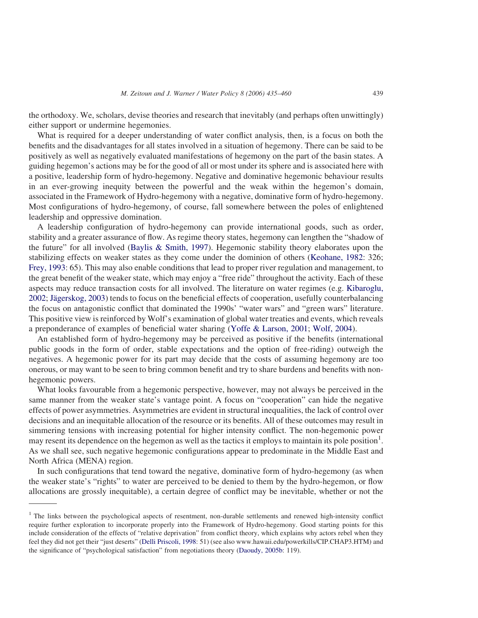the orthodoxy. We, scholars, devise theories and research that inevitably (and perhaps often unwittingly) either support or undermine hegemonies.

What is required for a deeper understanding of water conflict analysis, then, is a focus on both the benefits and the disadvantages for all states involved in a situation of hegemony. There can be said to be positively as well as negatively evaluated manifestations of hegemony on the part of the basin states. A guiding hegemon's actions may be for the good of all or most under its sphere and is associated here with a positive, leadership form of hydro-hegemony. Negative and dominative hegemonic behaviour results in an ever-growing inequity between the powerful and the weak within the hegemon's domain, associated in the Framework of Hydro-hegemony with a negative, dominative form of hydro-hegemony. Most configurations of hydro-hegemony, of course, fall somewhere between the poles of enlightened leadership and oppressive domination.

A leadership configuration of hydro-hegemony can provide international goods, such as order, stability and a greater assurance of flow. As regime theory states, hegemony can lengthen the "shadow of the future" for all involved (Baylis  $\&$  Smith, 1997). Hegemonic stability theory elaborates upon the stabilizing effects on weaker states as they come under the dominion of others ([Keohane, 1982:](#page-23-0) 326; [Frey, 1993:](#page-22-0) 65). This may also enable conditions that lead to proper river regulation and management, to the great benefit of the weaker state, which may enjoy a "free ride" throughout the activity. Each of these aspects may reduce transaction costs for all involved. The literature on water regimes (e.g. [Kibaroglu,](#page-23-0) [2002;](#page-23-0) Jägerskog, 2003) tends to focus on the beneficial effects of cooperation, usefully counterbalancing the focus on antagonistic conflict that dominated the 1990s' "water wars" and "green wars" literature. This positive view is reinforced by Wolf's examination of global water treaties and events, which reveals a preponderance of examples of beneficial water sharing [\(Yoffe & Larson, 2001;](#page-24-0) [Wolf, 2004](#page-24-0)).

An established form of hydro-hegemony may be perceived as positive if the benefits (international public goods in the form of order, stable expectations and the option of free-riding) outweigh the negatives. A hegemonic power for its part may decide that the costs of assuming hegemony are too onerous, or may want to be seen to bring common benefit and try to share burdens and benefits with nonhegemonic powers.

What looks favourable from a hegemonic perspective, however, may not always be perceived in the same manner from the weaker state's vantage point. A focus on "cooperation" can hide the negative effects of power asymmetries. Asymmetries are evident in structural inequalities, the lack of control over decisions and an inequitable allocation of the resource or its benefits. All of these outcomes may result in simmering tensions with increasing potential for higher intensity conflict. The non-hegemonic power may resent its dependence on the hegemon as well as the tactics it employs to maintain its pole position<sup>1</sup>. As we shall see, such negative hegemonic configurations appear to predominate in the Middle East and North Africa (MENA) region.

In such configurations that tend toward the negative, dominative form of hydro-hegemony (as when the weaker state's "rights" to water are perceived to be denied to them by the hydro-hegemon, or flow allocations are grossly inequitable), a certain degree of conflict may be inevitable, whether or not the

 $<sup>1</sup>$  The links between the psychological aspects of resentment, non-durable settlements and renewed high-intensity conflict</sup> require further exploration to incorporate properly into the Framework of Hydro-hegemony. Good starting points for this include consideration of the effects of "relative deprivation" from conflict theory, which explains why actors rebel when they feel they did not get their "just deserts" ([Delli Priscoli, 1998](#page-22-0): 51) (see also www.hawaii.edu/powerkills/CIP.CHAP3.HTM) and the significance of "psychological satisfaction" from negotiations theory [\(Daoudy, 2005b:](#page-21-0) 119).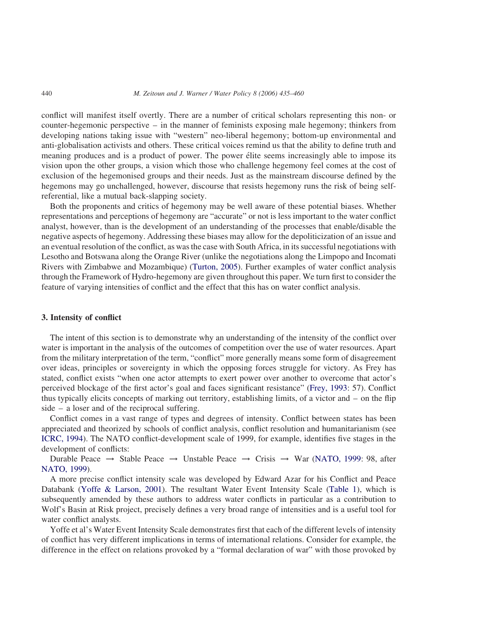conflict will manifest itself overtly. There are a number of critical scholars representing this non- or counter-hegemonic perspective – in the manner of feminists exposing male hegemony; thinkers from developing nations taking issue with "western" neo-liberal hegemony; bottom-up environmental and anti-globalisation activists and others. These critical voices remind us that the ability to define truth and meaning produces and is a product of power. The power élite seems increasingly able to impose its vision upon the other groups, a vision which those who challenge hegemony feel comes at the cost of exclusion of the hegemonised groups and their needs. Just as the mainstream discourse defined by the hegemons may go unchallenged, however, discourse that resists hegemony runs the risk of being selfreferential, like a mutual back-slapping society.

Both the proponents and critics of hegemony may be well aware of these potential biases. Whether representations and perceptions of hegemony are "accurate" or not is less important to the water conflict analyst, however, than is the development of an understanding of the processes that enable/disable the negative aspects of hegemony. Addressing these biases may allow for the depoliticization of an issue and an eventual resolution of the conflict, as was the case with South Africa, in its successful negotiations with Lesotho and Botswana along the Orange River (unlike the negotiations along the Limpopo and Incomati Rivers with Zimbabwe and Mozambique) ([Turton, 2005\)](#page-24-0). Further examples of water conflict analysis through the Framework of Hydro-hegemony are given throughout this paper. We turn first to consider the feature of varying intensities of conflict and the effect that this has on water conflict analysis.

# 3. Intensity of conflict

The intent of this section is to demonstrate why an understanding of the intensity of the conflict over water is important in the analysis of the outcomes of competition over the use of water resources. Apart from the military interpretation of the term, "conflict" more generally means some form of disagreement over ideas, principles or sovereignty in which the opposing forces struggle for victory. As Frey has stated, conflict exists "when one actor attempts to exert power over another to overcome that actor's perceived blockage of the first actor's goal and faces significant resistance" ([Frey, 1993:](#page-22-0) 57). Conflict thus typically elicits concepts of marking out territory, establishing limits, of a victor and – on the flip side – a loser and of the reciprocal suffering.

Conflict comes in a vast range of types and degrees of intensity. Conflict between states has been appreciated and theorized by schools of conflict analysis, conflict resolution and humanitarianism (see [ICRC, 1994](#page-22-0)). The NATO conflict-development scale of 1999, for example, identifies five stages in the development of conflicts:

Durable Peace  $\rightarrow$  Stable Peace  $\rightarrow$  Unstable Peace  $\rightarrow$  Crisis  $\rightarrow$  War ([NATO, 1999:](#page-23-0) 98, after [NATO, 1999](#page-23-0)).

A more precise conflict intensity scale was developed by Edward Azar for his Conflict and Peace Databank ([Yoffe & Larson, 2001\)](#page-24-0). The resultant Water Event Intensity Scale ([Table 1](#page-6-0)), which is subsequently amended by these authors to address water conflicts in particular as a contribution to Wolf's Basin at Risk project, precisely defines a very broad range of intensities and is a useful tool for water conflict analysts.

Yoffe et al's Water Event Intensity Scale demonstrates first that each of the different levels of intensity of conflict has very different implications in terms of international relations. Consider for example, the difference in the effect on relations provoked by a "formal declaration of war" with those provoked by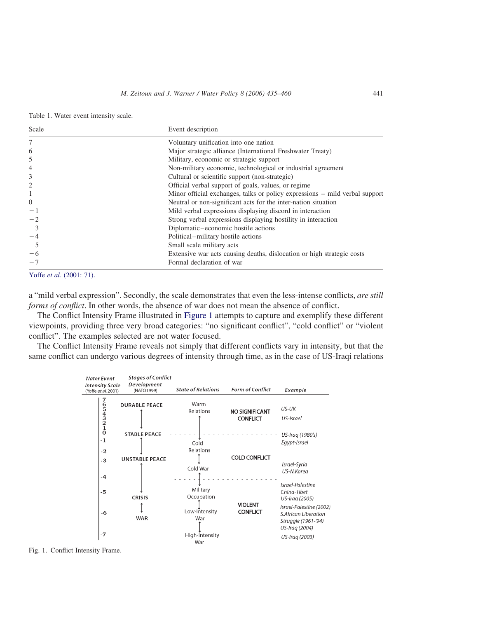<span id="page-6-0"></span>Table 1. Water event intensity scale.

| Scale          | Event description                                                           |
|----------------|-----------------------------------------------------------------------------|
| 7              | Voluntary unification into one nation                                       |
| 6              | Major strategic alliance (International Freshwater Treaty)                  |
| 5              | Military, economic or strategic support                                     |
| 4              | Non-military economic, technological or industrial agreement                |
| 3              | Cultural or scientific support (non-strategic)                              |
| $\overline{2}$ | Official verbal support of goals, values, or regime                         |
|                | Minor official exchanges, talks or policy expressions – mild verbal support |
| $\theta$       | Neutral or non-significant acts for the inter-nation situation              |
| $-1$           | Mild verbal expressions displaying discord in interaction                   |
| $-2$           | Strong verbal expressions displaying hostility in interaction               |
| $-3$           | Diplomatic-economic hostile actions                                         |
| $-4$           | Political-military hostile actions                                          |
| $-5$           | Small scale military acts                                                   |
| $-6$           | Extensive war acts causing deaths, dislocation or high strategic costs      |
| $-7$           | Formal declaration of war                                                   |

Yoffe et al[. \(2001: 71\).](#page-24-0)

a "mild verbal expression". Secondly, the scale demonstrates that even the less-intense conflicts, are still forms of conflict. In other words, the absence of war does not mean the absence of conflict.

The Conflict Intensity Frame illustrated in Figure 1 attempts to capture and exemplify these different viewpoints, providing three very broad categories: "no significant conflict", "cold conflict" or "violent conflict". The examples selected are not water focused.

The Conflict Intensity Frame reveals not simply that different conflicts vary in intensity, but that the same conflict can undergo various degrees of intensity through time, as in the case of US-Iraqi relations

| <b>Water Fvent</b><br><b>Intensity Scale</b><br>(Yoffe et al. 2001) | <b>Stages of Conflict</b><br>Development<br>(NATO1999) | <b>State of Relations</b> | <b>Form of Conflict</b>                  | Example                                                                                  |
|---------------------------------------------------------------------|--------------------------------------------------------|---------------------------|------------------------------------------|------------------------------------------------------------------------------------------|
| 7<br>6543210                                                        | <b>DURABLE PEACE</b>                                   | Warm<br>Relations         | <b>NO SIGNIFICANT</b><br><b>CONFLICT</b> | US-UK<br>US-Israel                                                                       |
| $-1$<br>$-2$                                                        | <b>STABLE PEACE</b>                                    | Cold<br>Relations         |                                          | US-Iraq (1980's)<br>Egypt-Israel                                                         |
| $-3$<br>$-4$                                                        | <b>UNSTABLE PEACE</b>                                  | Cold War                  | <b>COLD CONFLICT</b>                     | Israel-Syria<br>US-N.Korea                                                               |
| $-5$                                                                | <b>CRISIS</b>                                          | Military<br>Occupation    |                                          | Israel-Palestine<br>China-Tibet<br>US-Iraq (2005)                                        |
| -6                                                                  | <b>WAR</b>                                             | Low-Intensity<br>War      | <b>VIOLENT</b><br><b>CONFLICT</b>        | Israel-Palestine (2002)<br>S.African Liberation<br>Struggle (1961-'94)<br>US-Iraq (2004) |
| -7                                                                  |                                                        | High-Intensity<br>War     |                                          | US-Iraq (2003)                                                                           |

Fig. 1. Conflict Intensity Frame.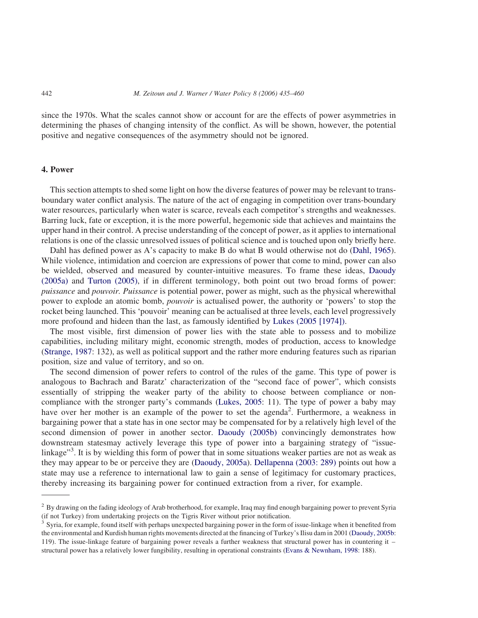since the 1970s. What the scales cannot show or account for are the effects of power asymmetries in determining the phases of changing intensity of the conflict. As will be shown, however, the potential positive and negative consequences of the asymmetry should not be ignored.

# 4. Power

This section attempts to shed some light on how the diverse features of power may be relevant to transboundary water conflict analysis. The nature of the act of engaging in competition over trans-boundary water resources, particularly when water is scarce, reveals each competitor's strengths and weaknesses. Barring luck, fate or exception, it is the more powerful, hegemonic side that achieves and maintains the upper hand in their control. A precise understanding of the concept of power, as it applies to international relations is one of the classic unresolved issues of political science and is touched upon only briefly here.

Dahl has defined power as A's capacity to make B do what B would otherwise not do ([Dahl, 1965](#page-21-0)). While violence, intimidation and coercion are expressions of power that come to mind, power can also be wielded, observed and measured by counter-intuitive measures. To frame these ideas, [Daoudy](#page-21-0) [\(2005a\)](#page-21-0) and [Turton \(2005\)](#page-24-0), if in different terminology, both point out two broad forms of power: puissance and pouvoir. Puissance is potential power, power as might, such as the physical wherewithal power to explode an atomic bomb, *pouvoir* is actualised power, the authority or 'powers' to stop the rocket being launched. This 'pouvoir' meaning can be actualised at three levels, each level progressively more profound and hideen than the last, as famously identified by [Lukes \(2005 \[1974\]\).](#page-23-0)

The most visible, first dimension of power lies with the state able to possess and to mobilize capabilities, including military might, economic strength, modes of production, access to knowledge ([Strange, 1987:](#page-23-0) 132), as well as political support and the rather more enduring features such as riparian position, size and value of territory, and so on.

The second dimension of power refers to control of the rules of the game. This type of power is analogous to Bachrach and Baratz' characterization of the "second face of power", which consists essentially of stripping the weaker party of the ability to choose between compliance or noncompliance with the stronger party's commands ([Lukes, 2005](#page-23-0): 11). The type of power a baby may have over her mother is an example of the power to set the agenda<sup>2</sup>. Furthermore, a weakness in bargaining power that a state has in one sector may be compensated for by a relatively high level of the second dimension of power in another sector. [Daoudy \(2005b\)](#page-21-0) convincingly demonstrates how downstream statesmay actively leverage this type of power into a bargaining strategy of "issuelinkage"<sup>3</sup>. It is by wielding this form of power that in some situations weaker parties are not as weak as they may appear to be or perceive they are [\(Daoudy, 2005a](#page-21-0)). [Dellapenna \(2003: 289\)](#page-22-0) points out how a state may use a reference to international law to gain a sense of legitimacy for customary practices, thereby increasing its bargaining power for continued extraction from a river, for example.

 $^2$  By drawing on the fading ideology of Arab brotherhood, for example, Iraq may find enough bargaining power to prevent Syria (if not Turkey) from undertaking projects on the Tigris River without prior notification.

<sup>3</sup> Syria, for example, found itself with perhaps unexpected bargaining power in the form of issue-linkage when it benefited from the environmental and Kurdish human rights movements directed at the financing of Turkey's Ilisu dam in 2001 [\(Daoudy, 2005b:](#page-21-0) 119). The issue-linkage feature of bargaining power reveals a further weakness that structural power has in countering it – structural power has a relatively lower fungibility, resulting in operational constraints ([Evans & Newnham, 1998:](#page-22-0) 188).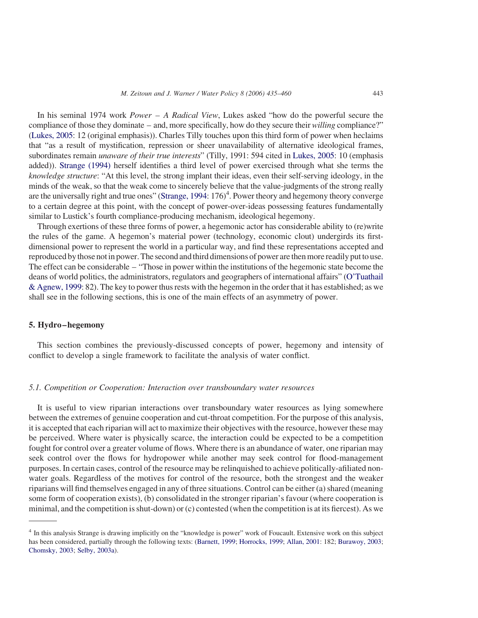In his seminal 1974 work *Power – A Radical View*, Lukes asked "how do the powerful secure the compliance of those they dominate – and, more specifically, how do they secure their willing compliance?" [\(Lukes, 2005](#page-23-0): 12 (original emphasis)). Charles Tilly touches upon this third form of power when heclaims that "as a result of mystification, repression or sheer unavailability of alternative ideological frames, subordinates remain *unaware of their true interests*" (Tilly, 1991: 594 cited in [Lukes, 2005](#page-23-0): 10 (emphasis added)). [Strange \(1994\)](#page-23-0) herself identifies a third level of power exercised through what she terms the knowledge structure: "At this level, the strong implant their ideas, even their self-serving ideology, in the minds of the weak, so that the weak come to sincerely believe that the value-judgments of the strong really are the universally right and true ones" [\(Strange, 1994:](#page-23-0) 176)<sup>4</sup>. Power theory and hegemony theory converge to a certain degree at this point, with the concept of power-over-ideas possessing features fundamentally similar to Lustick's fourth compliance-producing mechanism, ideological hegemony.

Through exertions of these three forms of power, a hegemonic actor has considerable ability to (re)write the rules of the game. A hegemon's material power (technology, economic clout) undergirds its firstdimensional power to represent the world in a particular way, and find these representations accepted and reproduced by those not in power. The second and third dimensions of power are then more readily put to use. The effect can be considerable – "Those in power within the institutions of the hegemonic state become the deans of world politics, the administrators, regulators and geographers of international affairs" [\(O'Tuathail](#page-23-0) [& Agnew, 1999](#page-23-0): 82). The key to power thus rests with the hegemon in the order that it has established; as we shall see in the following sections, this is one of the main effects of an asymmetry of power.

# 5. Hydro–hegemony

This section combines the previously-discussed concepts of power, hegemony and intensity of conflict to develop a single framework to facilitate the analysis of water conflict.

# 5.1. Competition or Cooperation: Interaction over transboundary water resources

It is useful to view riparian interactions over transboundary water resources as lying somewhere between the extremes of genuine cooperation and cut-throat competition. For the purpose of this analysis, it is accepted that each riparian will act to maximize their objectives with the resource, however these may be perceived. Where water is physically scarce, the interaction could be expected to be a competition fought for control over a greater volume of flows. Where there is an abundance of water, one riparian may seek control over the flows for hydropower while another may seek control for flood-management purposes. In certain cases, control of the resource may be relinquished to achieve politically-afiliated nonwater goals. Regardless of the motives for control of the resource, both the strongest and the weaker riparians will find themselves engaged in any of three situations. Control can be either (a) shared (meaning some form of cooperation exists), (b) consolidated in the stronger riparian's favour (where cooperation is minimal, and the competition is shut-down) or (c) contested (when the competition is at its fiercest). As we

<sup>4</sup> In this analysis Strange is drawing implicitly on the "knowledge is power" work of Foucault. Extensive work on this subject has been considered, partially through the following texts: ([Barnett, 1999;](#page-21-0) [Horrocks, 1999](#page-22-0); [Allan, 2001:](#page-21-0) 182; [Burawoy, 2003;](#page-21-0) [Chomsky, 2003](#page-21-0); [Selby, 2003a\)](#page-23-0).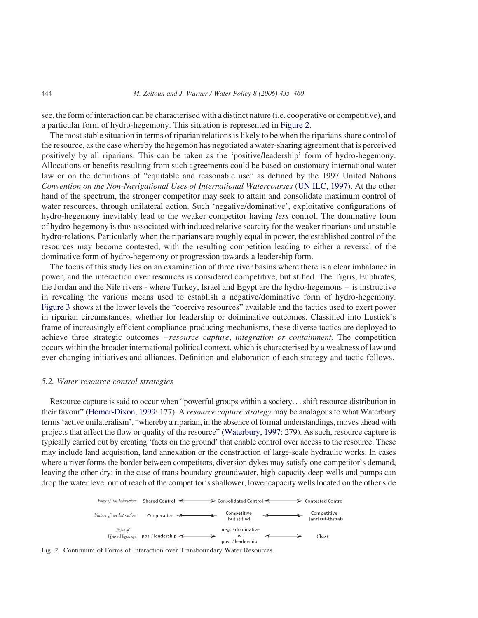<span id="page-9-0"></span>see, the form of interaction can be characterised with a distinct nature (i.e. cooperative or competitive), and a particular form of hydro-hegemony. This situation is represented in Figure 2.

The most stable situation in terms of riparian relations is likely to be when the riparians share control of the resource, as the case whereby the hegemon has negotiated a water-sharing agreement that is perceived positively by all riparians. This can be taken as the 'positive/leadership' form of hydro-hegemony. Allocations or benefits resulting from such agreements could be based on customary international water law or on the definitions of "equitable and reasonable use" as defined by the 1997 United Nations Convention on the Non-Navigational Uses of International Watercourses ([UN ILC, 1997](#page-24-0)). At the other hand of the spectrum, the stronger competitor may seek to attain and consolidate maximum control of water resources, through unilateral action. Such 'negative/dominative', exploitative configurations of hydro-hegemony inevitably lead to the weaker competitor having *less* control. The dominative form of hydro-hegemony is thus associated with induced relative scarcity for the weaker riparians and unstable hydro-relations. Particularly when the riparians are roughly equal in power, the established control of the resources may become contested, with the resulting competition leading to either a reversal of the dominative form of hydro-hegemony or progression towards a leadership form.

The focus of this study lies on an examination of three river basins where there is a clear imbalance in power, and the interaction over resources is considered competitive, but stifled. The Tigris, Euphrates, the Jordan and the Nile rivers - where Turkey, Israel and Egypt are the hydro-hegemons – is instructive in revealing the various means used to establish a negative/dominative form of hydro-hegemony. [Figure 3](#page-10-0) shows at the lower levels the "coercive resources" available and the tactics used to exert power in riparian circumstances, whether for leadership or doiminative outcomes. Classified into Lustick's frame of increasingly efficient compliance-producing mechanisms, these diverse tactics are deployed to achieve three strategic outcomes *-resource capture*, *integration or containment*. The competition occurs within the broader international political context, which is characterised by a weakness of law and ever-changing initiatives and alliances. Definition and elaboration of each strategy and tactic follows.

# 5.2. Water resource control strategies

Resource capture is said to occur when "powerful groups within a society... shift resource distribution in their favour" [\(Homer-Dixon, 1999](#page-22-0): 177). A resource capture strategy may be analagous to what Waterbury terms 'active unilateralism', "whereby a riparian, in the absence of formal understandings, moves ahead with projects that affect the flow or quality of the resource" ([Waterbury, 1997](#page-24-0): 279). As such, resource capture is typically carried out by creating 'facts on the ground' that enable control over access to the resource. These may include land acquisition, land annexation or the construction of large-scale hydraulic works. In cases where a river forms the border between competitors, diversion dykes may satisfy one competitor's demand, leaving the other dry; in the case of trans-boundary groundwater, high-capacity deep wells and pumps can drop the water level out of reach of the competitor's shallower, lower capacity wells located on the other side



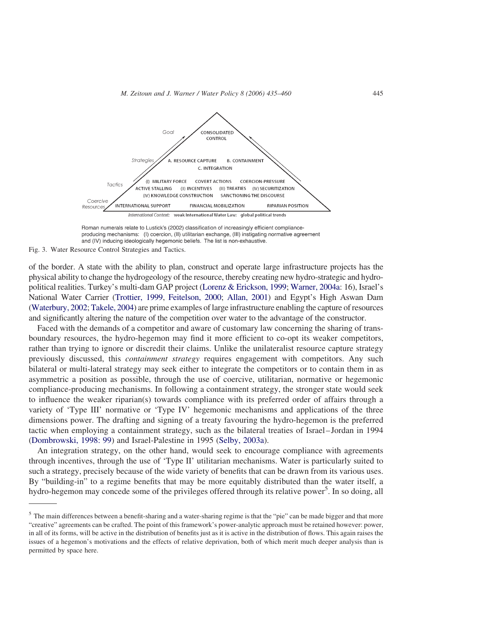<span id="page-10-0"></span>

Roman numerals relate to Lustick's (2002) classification of increasingly efficient complianceproducing mechanisms: (I) coercion, (II) utilitarian exchange, (III) instigating normative agreement and (IV) inducing ideologically hegemonic beliefs. The list is non-exhaustive.

Fig. 3. Water Resource Control Strategies and Tactics.

of the border. A state with the ability to plan, construct and operate large infrastructure projects has the physical ability to change the hydrogeology of the resource, thereby creating new hydro-strategic and hydropolitical realities. Turkey's multi-dam GAP project [\(Lorenz & Erickson, 1999;](#page-23-0) [Warner, 2004a](#page-24-0): 16), Israel's National Water Carrier ([Trottier, 1999,](#page-24-0) [Feitelson, 2000](#page-22-0); [Allan, 2001](#page-21-0)) and Egypt's High Aswan Dam [\(Waterbury, 2002;](#page-24-0) [Takele, 2004](#page-24-0)) are prime examples of large infrastructure enabling the capture of resources and significantly altering the nature of the competition over water to the advantage of the constructor.

Faced with the demands of a competitor and aware of customary law concerning the sharing of transboundary resources, the hydro-hegemon may find it more efficient to co-opt its weaker competitors, rather than trying to ignore or discredit their claims. Unlike the unilateralist resource capture strategy previously discussed, this *containment strategy* requires engagement with competitors. Any such bilateral or multi-lateral strategy may seek either to integrate the competitors or to contain them in as asymmetric a position as possible, through the use of coercive, utilitarian, normative or hegemonic compliance-producing mechanisms. In following a containment strategy, the stronger state would seek to influence the weaker riparian(s) towards compliance with its preferred order of affairs through a variety of 'Type III' normative or 'Type IV' hegemonic mechanisms and applications of the three dimensions power. The drafting and signing of a treaty favouring the hydro-hegemon is the preferred tactic when employing a containment strategy, such as the bilateral treaties of Israel–Jordan in 1994 [\(Dombrowski, 1998: 99\)](#page-22-0) and Israel-Palestine in 1995 ([Selby, 2003a](#page-23-0)).

An integration strategy, on the other hand, would seek to encourage compliance with agreements through incentives, through the use of 'Type II' utilitarian mechanisms. Water is particularly suited to such a strategy, precisely because of the wide variety of benefits that can be drawn from its various uses. By "building-in" to a regime benefits that may be more equitably distributed than the water itself, a hydro-hegemon may concede some of the privileges offered through its relative power<sup>5</sup>. In so doing, all

 $<sup>5</sup>$  The main differences between a benefit-sharing and a water-sharing regime is that the "pie" can be made bigger and that more</sup> "creative" agreements can be crafted. The point of this framework's power-analytic approach must be retained however: power, in all of its forms, will be active in the distribution of benefits just as it is active in the distribution of flows. This again raises the issues of a hegemon's motivations and the effects of relative deprivation, both of which merit much deeper analysis than is permitted by space here.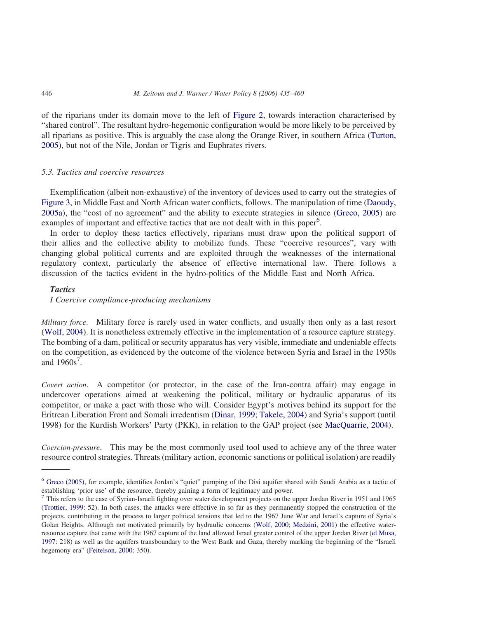of the riparians under its domain move to the left of [Figure 2](#page-9-0), towards interaction characterised by "shared control". The resultant hydro-hegemonic configuration would be more likely to be perceived by all riparians as positive. This is arguably the case along the Orange River, in southern Africa ([Turton,](#page-24-0) [2005](#page-24-0)), but not of the Nile, Jordan or Tigris and Euphrates rivers.

# 5.3. Tactics and coercive resources

Exemplification (albeit non-exhaustive) of the inventory of devices used to carry out the strategies of [Figure 3,](#page-10-0) in Middle East and North African water conflicts, follows. The manipulation of time [\(Daoudy,](#page-21-0) [2005a\)](#page-21-0), the "cost of no agreement" and the ability to execute strategies in silence [\(Greco, 2005](#page-22-0)) are examples of important and effective tactics that are not dealt with in this paper<sup>6</sup>.

In order to deploy these tactics effectively, riparians must draw upon the political support of their allies and the collective ability to mobilize funds. These "coercive resources", vary with changing global political currents and are exploited through the weaknesses of the international regulatory context, particularly the absence of effective international law. There follows a discussion of the tactics evident in the hydro-politics of the Middle East and North Africa.

#### **Tactics**

I Coercive compliance-producing mechanisms

Military force. Military force is rarely used in water conflicts, and usually then only as a last resort ([Wolf, 2004\)](#page-24-0). It is nonetheless extremely effective in the implementation of a resource capture strategy. The bombing of a dam, political or security apparatus has very visible, immediate and undeniable effects on the competition, as evidenced by the outcome of the violence between Syria and Israel in the 1950s and  $1960s^7$ .

Covert action. A competitor (or protector, in the case of the Iran-contra affair) may engage in undercover operations aimed at weakening the political, military or hydraulic apparatus of its competitor, or make a pact with those who will. Consider Egypt's motives behind its support for the Eritrean Liberation Front and Somali irredentism ([Dinar, 1999;](#page-22-0) [Takele, 2004\)](#page-24-0) and Syria's support (until 1998) for the Kurdish Workers' Party (PKK), in relation to the GAP project (see [MacQuarrie, 2004\)](#page-23-0).

Coercion-pressure. This may be the most commonly used tool used to achieve any of the three water resource control strategies. Threats (military action, economic sanctions or political isolation) are readily

 $6$  [Greco \(2005\)](#page-22-0), for example, identifies Jordan's "quiet" pumping of the Disi aquifer shared with Saudi Arabia as a tactic of establishing 'prior use' of the resource, thereby gaining a form of legitimacy and power.

<sup>7</sup> This refers to the case of Syrian-Israeli fighting over water development projects on the upper Jordan River in 1951 and 1965 [\(Trottier, 1999:](#page-24-0) 52). In both cases, the attacks were effective in so far as they permanently stopped the construction of the projects, contributing in the process to larger political tensions that led to the 1967 June War and Israel's capture of Syria's Golan Heights. Although not motivated primarily by hydraulic concerns ([Wolf, 2000;](#page-24-0) [Medzini, 2001\)](#page-23-0) the effective waterresource capture that came with the 1967 capture of the land allowed Israel greater control of the upper Jordan River ([el Musa,](#page-22-0) [1997](#page-22-0): 218) as well as the aquifers transboundary to the West Bank and Gaza, thereby marking the beginning of the "Israeli hegemony era" ([Feitelson, 2000:](#page-22-0) 350).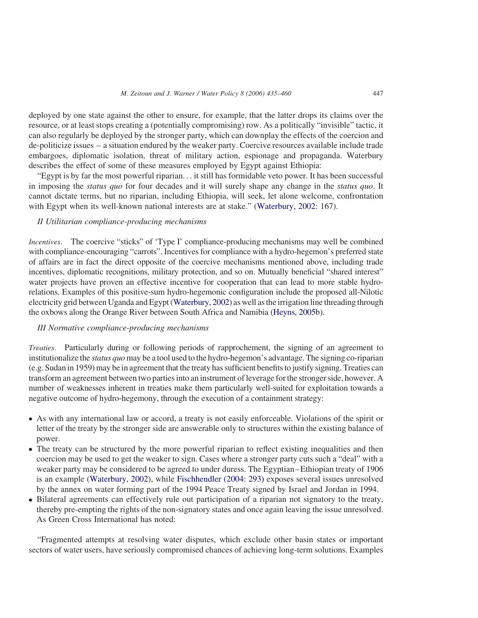deployed by one state against the other to ensure, for example, that the latter drops its claims over the resource, or at least stops creating a (potentially compromising) row. As a politically "invisible" tactic, it can also regularly be deployed by the stronger party, which can downplay the effects of the coercion and de-politicize issues – a situation endured by the weaker party. Coercive resources available include trade embargoes, diplomatic isolation, threat of military action, espionage and propaganda. Waterbury describes the effect of some of these measures employed by Egypt against Ethiopia:

"Egypt is by far the most powerful riparian... it still has formidable veto power. It has been successful in imposing the *status quo* for four decades and it will surely shape any change in the *status quo*. It cannot dictate terms, but no riparian, including Ethiopia, will seek, let alone welcome, confrontation with Egypt when its well-known national interests are at stake." [\(Waterbury, 2002](#page-24-0): 167).

## II Utilitarian compliance-producing mechanisms

Incentives. The coercive "sticks" of 'Type I' compliance-producing mechanisms may well be combined with compliance-encouraging "carrots". Incentives for compliance with a hydro-hegemon's preferred state of affairs are in fact the direct opposite of the coercive mechanisms mentioned above, including trade incentives, diplomatic recognitions, military protection, and so on. Mutually beneficial "shared interest" water projects have proven an effective incentive for cooperation that can lead to more stable hydrorelations. Examples of this positive-sum hydro-hegemonic configuration include the proposed all-Nilotic electricity grid between Uganda and Egypt [\(Waterbury, 2002\)](#page-24-0) as well as the irrigation line threading through the oxbows along the Orange River between South Africa and Namibia [\(Heyns, 2005](#page-22-0)b).

# III Normative compliance-producing mechanisms

Treaties. Particularly during or following periods of rapprochement, the signing of an agreement to institutionalize the *status quo* may be a tool used to the hydro-hegemon's advantage. The signing co-riparian (e.g. Sudan in 1959) may be in agreement that the treaty has sufficient benefits to justify signing. Treaties can transform an agreement between two parties into an instrument of leverage for the stronger side, however. A number of weaknesses inherent in treaties make them particularly well-suited for exploitation towards a negative outcome of hydro-hegemony, through the execution of a containment strategy:

- . As with any international law or accord, a treaty is not easily enforceable. Violations of the spirit or letter of the treaty by the stronger side are answerable only to structures within the existing balance of power.
- . The treaty can be structured by the more powerful riparian to reflect existing inequalities and then coercion may be used to get the weaker to sign. Cases where a stronger party cuts such a "deal" with a weaker party may be considered to be agreed to under duress. The Egyptian–Ethiopian treaty of 1906 is an example ([Waterbury, 2002\)](#page-24-0), while [Fischhendler \(2004: 293\)](#page-22-0) exposes several issues unresolved by the annex on water forming part of the 1994 Peace Treaty signed by Israel and Jordan in 1994.
- . Bilateral agreements can effectively rule out participation of a riparian not signatory to the treaty, thereby pre-empting the rights of the non-signatory states and once again leaving the issue unresolved. As Green Cross International has noted:

"Fragmented attempts at resolving water disputes, which exclude other basin states or important sectors of water users, have seriously compromised chances of achieving long-term solutions. Examples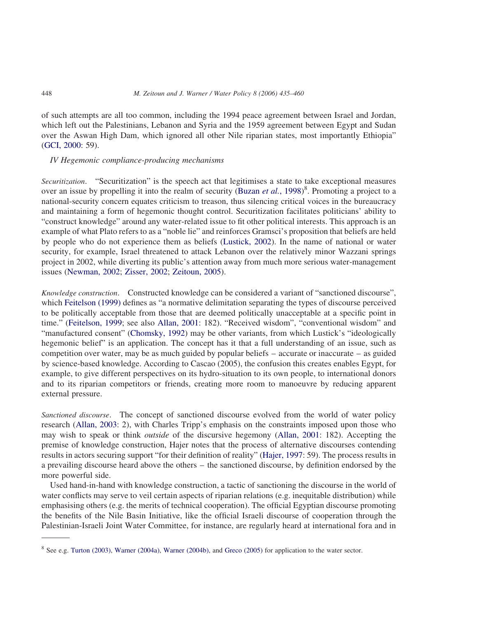# 448 M. Zeitoun and J. Warner / Water Policy 8 (2006) 435–460

of such attempts are all too common, including the 1994 peace agreement between Israel and Jordan, which left out the Palestinians, Lebanon and Syria and the 1959 agreement between Egypt and Sudan over the Aswan High Dam, which ignored all other Nile riparian states, most importantly Ethiopia" ([GCI, 2000:](#page-22-0) 59).

# IV Hegemonic compliance-producing mechanisms

Securitization. "Securitization" is the speech act that legitimises a state to take exceptional measures over an issue by propelling it into the realm of security ([Buzan](#page-21-0) et al., 1998)<sup>8</sup>. Promoting a project to a national-security concern equates criticism to treason, thus silencing critical voices in the bureaucracy and maintaining a form of hegemonic thought control. Securitization facilitates politicians' ability to "construct knowledge" around any water-related issue to fit other political interests. This approach is an example of what Plato refers to as a "noble lie" and reinforces Gramsci's proposition that beliefs are held by people who do not experience them as beliefs ([Lustick, 2002\)](#page-23-0). In the name of national or water security, for example, Israel threatened to attack Lebanon over the relatively minor Wazzani springs project in 2002, while diverting its public's attention away from much more serious water-management issues [\(Newman, 2002;](#page-23-0) [Zisser, 2002;](#page-24-0) [Zeitoun, 2005](#page-24-0)).

Knowledge construction. Constructed knowledge can be considered a variant of "sanctioned discourse", which [Feitelson \(1999\)](#page-22-0) defines as "a normative delimitation separating the types of discourse perceived to be politically acceptable from those that are deemed politically unacceptable at a specific point in time." ([Feitelson, 1999](#page-22-0); see also [Allan, 2001:](#page-21-0) 182). "Received wisdom", "conventional wisdom" and "manufactured consent" [\(Chomsky, 1992\)](#page-21-0) may be other variants, from which Lustick's "ideologically hegemonic belief" is an application. The concept has it that a full understanding of an issue, such as competition over water, may be as much guided by popular beliefs – accurate or inaccurate – as guided by science-based knowledge. According to Cascao (2005), the confusion this creates enables Egypt, for example, to give different perspectives on its hydro-situation to its own people, to international donors and to its riparian competitors or friends, creating more room to manoeuvre by reducing apparent external pressure.

Sanctioned discourse. The concept of sanctioned discourse evolved from the world of water policy research [\(Allan, 2003:](#page-21-0) 2), with Charles Tripp's emphasis on the constraints imposed upon those who may wish to speak or think outside of the discursive hegemony ([Allan, 2001](#page-21-0): 182). Accepting the premise of knowledge construction, Hajer notes that the process of alternative discourses contending results in actors securing support "for their definition of reality" [\(Hajer, 1997:](#page-22-0) 59). The process results in a prevailing discourse heard above the others – the sanctioned discourse, by definition endorsed by the more powerful side.

Used hand-in-hand with knowledge construction, a tactic of sanctioning the discourse in the world of water conflicts may serve to veil certain aspects of riparian relations (e.g. inequitable distribution) while emphasising others (e.g. the merits of technical cooperation). The official Egyptian discourse promoting the benefits of the Nile Basin Initiative, like the official Israeli discourse of cooperation through the Palestinian-Israeli Joint Water Committee, for instance, are regularly heard at international fora and in

<sup>8</sup> See e.g. [Turton \(2003\),](#page-24-0) [Warner \(2004a\)](#page-24-0), [Warner \(2004b\)](#page-24-0), and [Greco \(2005\)](#page-22-0) for application to the water sector.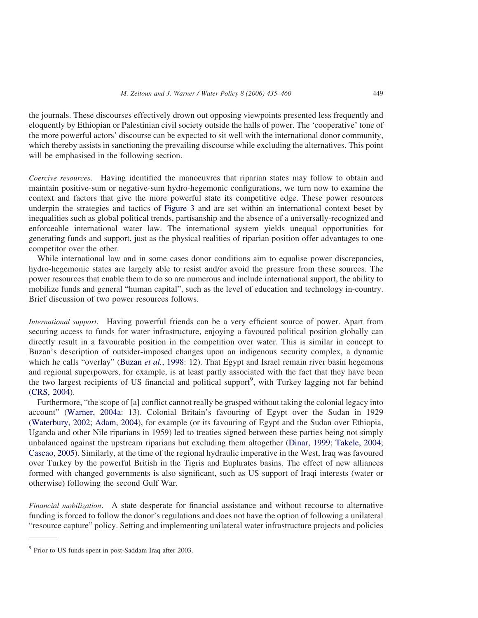the journals. These discourses effectively drown out opposing viewpoints presented less frequently and eloquently by Ethiopian or Palestinian civil society outside the halls of power. The 'cooperative' tone of the more powerful actors' discourse can be expected to sit well with the international donor community, which thereby assists in sanctioning the prevailing discourse while excluding the alternatives. This point will be emphasised in the following section.

Coercive resources. Having identified the manoeuvres that riparian states may follow to obtain and maintain positive-sum or negative-sum hydro-hegemonic configurations, we turn now to examine the context and factors that give the more powerful state its competitive edge. These power resources underpin the strategies and tactics of [Figure 3](#page-10-0) and are set within an international context beset by inequalities such as global political trends, partisanship and the absence of a universally-recognized and enforceable international water law. The international system yields unequal opportunities for generating funds and support, just as the physical realities of riparian position offer advantages to one competitor over the other.

While international law and in some cases donor conditions aim to equalise power discrepancies, hydro-hegemonic states are largely able to resist and/or avoid the pressure from these sources. The power resources that enable them to do so are numerous and include international support, the ability to mobilize funds and general "human capital", such as the level of education and technology in-country. Brief discussion of two power resources follows.

International support. Having powerful friends can be a very efficient source of power. Apart from securing access to funds for water infrastructure, enjoying a favoured political position globally can directly result in a favourable position in the competition over water. This is similar in concept to Buzan's description of outsider-imposed changes upon an indigenous security complex, a dynamic which he calls "overlay" (Buzan et al.[, 1998:](#page-21-0) 12). That Egypt and Israel remain river basin hegemons and regional superpowers, for example, is at least partly associated with the fact that they have been the two largest recipients of US financial and political support<sup>9</sup>, with Turkey lagging not far behind [\(CRS, 2004\)](#page-21-0).

Furthermore, "the scope of [a] conflict cannot really be grasped without taking the colonial legacy into account" [\(Warner, 2004a:](#page-24-0) 13). Colonial Britain's favouring of Egypt over the Sudan in 1929 [\(Waterbury, 2002](#page-24-0); [Adam, 2004\)](#page-21-0), for example (or its favouring of Egypt and the Sudan over Ethiopia, Uganda and other Nile riparians in 1959) led to treaties signed between these parties being not simply unbalanced against the upstream riparians but excluding them altogether ([Dinar, 1999](#page-22-0); [Takele, 2004](#page-24-0); [Cascao, 2005\)](#page-21-0). Similarly, at the time of the regional hydraulic imperative in the West, Iraq was favoured over Turkey by the powerful British in the Tigris and Euphrates basins. The effect of new alliances formed with changed governments is also significant, such as US support of Iraqi interests (water or otherwise) following the second Gulf War.

Financial mobilization. A state desperate for financial assistance and without recourse to alternative funding is forced to follow the donor's regulations and does not have the option of following a unilateral "resource capture" policy. Setting and implementing unilateral water infrastructure projects and policies

<sup>9</sup> Prior to US funds spent in post-Saddam Iraq after 2003.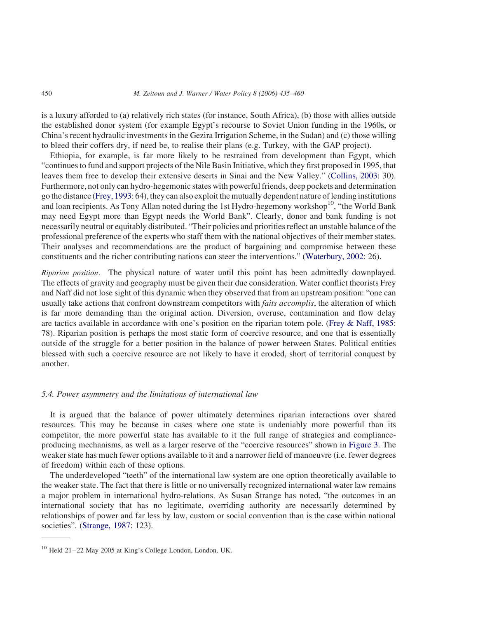#### 450 M. Zeitoun and J. Warner / Water Policy 8 (2006) 435–460

is a luxury afforded to (a) relatively rich states (for instance, South Africa), (b) those with allies outside the established donor system (for example Egypt's recourse to Soviet Union funding in the 1960s, or China's recent hydraulic investments in the Gezira Irrigation Scheme, in the Sudan) and (c) those willing to bleed their coffers dry, if need be, to realise their plans (e.g. Turkey, with the GAP project).

Ethiopia, for example, is far more likely to be restrained from development than Egypt, which "continues to fund and support projects of the Nile Basin Initiative, which they first proposed in 1995, that leaves them free to develop their extensive deserts in Sinai and the New Valley." ([Collins, 2003:](#page-21-0) 30). Furthermore, not only can hydro-hegemonic states with powerful friends, deep pockets and determination go the distance [\(Frey, 1993:](#page-22-0) 64), they can also exploit the mutually dependent nature of lending institutions and loan recipients. As Tony Allan noted during the 1st Hydro-hegemony workshop<sup>10</sup>, "the World Bank may need Egypt more than Egypt needs the World Bank". Clearly, donor and bank funding is not necessarily neutral or equitably distributed. "Their policies and priorities reflect an unstable balance of the professional preference of the experts who staff them with the national objectives of their member states. Their analyses and recommendations are the product of bargaining and compromise between these constituents and the richer contributing nations can steer the interventions." [\(Waterbury, 2002:](#page-24-0) 26).

Riparian position. The physical nature of water until this point has been admittedly downplayed. The effects of gravity and geography must be given their due consideration. Water conflict theorists Frey and Naff did not lose sight of this dynamic when they observed that from an upstream position: "one can usually take actions that confront downstream competitors with *faits accomplis*, the alteration of which is far more demanding than the original action. Diversion, overuse, contamination and flow delay are tactics available in accordance with one's position on the riparian totem pole. ([Frey & Naff, 1985](#page-22-0): 78). Riparian position is perhaps the most static form of coercive resource, and one that is essentially outside of the struggle for a better position in the balance of power between States. Political entities blessed with such a coercive resource are not likely to have it eroded, short of territorial conquest by another.

# 5.4. Power asymmetry and the limitations of international law

It is argued that the balance of power ultimately determines riparian interactions over shared resources. This may be because in cases where one state is undeniably more powerful than its competitor, the more powerful state has available to it the full range of strategies and complianceproducing mechanisms, as well as a larger reserve of the "coercive resources" shown in [Figure 3](#page-10-0). The weaker state has much fewer options available to it and a narrower field of manoeuvre (i.e. fewer degrees of freedom) within each of these options.

The underdeveloped "teeth" of the international law system are one option theoretically available to the weaker state. The fact that there is little or no universally recognized international water law remains a major problem in international hydro-relations. As Susan Strange has noted, "the outcomes in an international society that has no legitimate, overriding authority are necessarily determined by relationships of power and far less by law, custom or social convention than is the case within national societies". ([Strange, 1987](#page-23-0): 123).

<sup>10</sup> Held 21–22 May 2005 at King's College London, London, UK.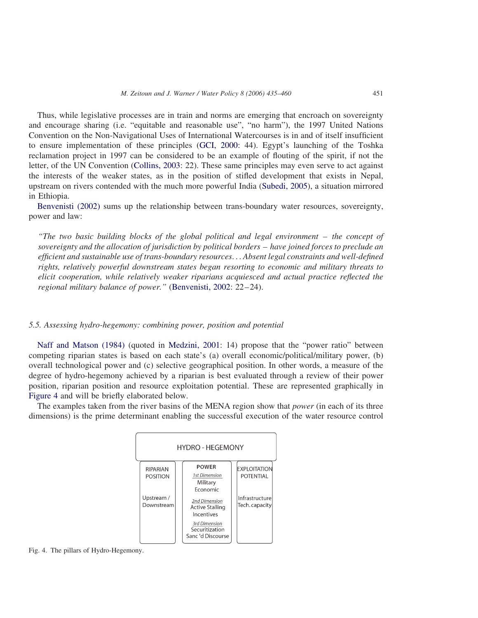Thus, while legislative processes are in train and norms are emerging that encroach on sovereignty and encourage sharing (i.e. "equitable and reasonable use", "no harm"), the 1997 United Nations Convention on the Non-Navigational Uses of International Watercourses is in and of itself insufficient to ensure implementation of these principles ([GCI, 2000:](#page-22-0) 44). Egypt's launching of the Toshka reclamation project in 1997 can be considered to be an example of flouting of the spirit, if not the letter, of the UN Convention [\(Collins, 2003](#page-21-0): 22). These same principles may even serve to act against the interests of the weaker states, as in the position of stifled development that exists in Nepal, upstream on rivers contended with the much more powerful India ([Subedi, 2005](#page-23-0)), a situation mirrored in Ethiopia.

[Benvenisti \(2002\)](#page-21-0) sums up the relationship between trans-boundary water resources, sovereignty, power and law:

"The two basic building blocks of the global political and legal environment – the concept of sovereignty and the allocation of jurisdiction by political borders – have joined forces to preclude an efficient and sustainable use of trans-boundary resources... Absent legal constraints and well-defined rights, relatively powerful downstream states began resorting to economic and military threats to elicit cooperation, while relatively weaker riparians acquiesced and actual practice reflected the regional military balance of power." [\(Benvenisti, 2002](#page-21-0): 22–24).

# 5.5. Assessing hydro-hegemony: combining power, position and potential

[Naff and Matson \(1984\)](#page-23-0) (quoted in [Medzini, 2001:](#page-23-0) 14) propose that the "power ratio" between competing riparian states is based on each state's (a) overall economic/political/military power, (b) overall technological power and (c) selective geographical position. In other words, a measure of the degree of hydro-hegemony achieved by a riparian is best evaluated through a review of their power position, riparian position and resource exploitation potential. These are represented graphically in Figure 4 and will be briefly elaborated below.

The examples taken from the river basins of the MENA region show that *power* (in each of its three dimensions) is the prime determinant enabling the successful execution of the water resource control



Fig. 4. The pillars of Hydro-Hegemony.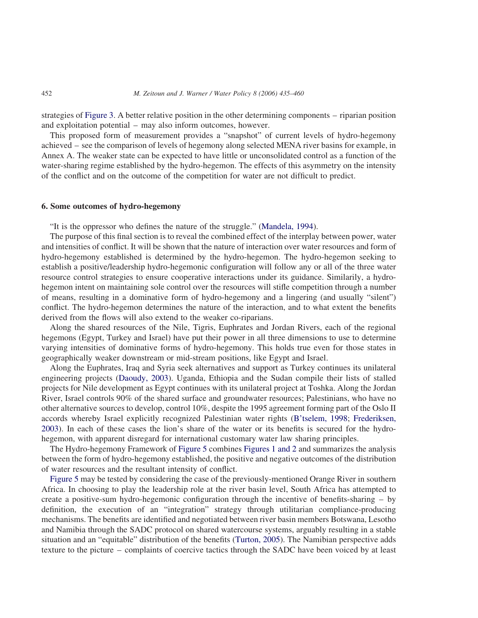strategies of [Figure 3](#page-10-0). A better relative position in the other determining components – riparian position and exploitation potential – may also inform outcomes, however.

This proposed form of measurement provides a "snapshot" of current levels of hydro-hegemony achieved – see the comparison of levels of hegemony along selected MENA river basins for example, in Annex A. The weaker state can be expected to have little or unconsolidated control as a function of the water-sharing regime established by the hydro-hegemon. The effects of this asymmetry on the intensity of the conflict and on the outcome of the competition for water are not difficult to predict.

# 6. Some outcomes of hydro-hegemony

"It is the oppressor who defines the nature of the struggle." [\(Mandela, 1994](#page-23-0)).

The purpose of this final section is to reveal the combined effect of the interplay between power, water and intensities of conflict. It will be shown that the nature of interaction over water resources and form of hydro-hegemony established is determined by the hydro-hegemon. The hydro-hegemon seeking to establish a positive/leadership hydro-hegemonic configuration will follow any or all of the three water resource control strategies to ensure cooperative interactions under its guidance. Similarily, a hydrohegemon intent on maintaining sole control over the resources will stifle competition through a number of means, resulting in a dominative form of hydro-hegemony and a lingering (and usually "silent") conflict. The hydro-hegemon determines the nature of the interaction, and to what extent the benefits derived from the flows will also extend to the weaker co-riparians.

Along the shared resources of the Nile, Tigris, Euphrates and Jordan Rivers, each of the regional hegemons (Egypt, Turkey and Israel) have put their power in all three dimensions to use to determine varying intensities of dominative forms of hydro-hegemony. This holds true even for those states in geographically weaker downstream or mid-stream positions, like Egypt and Israel.

Along the Euphrates, Iraq and Syria seek alternatives and support as Turkey continues its unilateral engineering projects [\(Daoudy, 2003\)](#page-21-0). Uganda, Ethiopia and the Sudan compile their lists of stalled projects for Nile development as Egypt continues with its unilateral project at Toshka. Along the Jordan River, Israel controls 90% of the shared surface and groundwater resources; Palestinians, who have no other alternative sources to develop, control 10%, despite the 1995 agreement forming part of the Oslo II accords whereby Israel explicitly recognized Palestinian water rights [\(B'tselem, 1998](#page-21-0); [Frederiksen,](#page-22-0) [2003](#page-22-0)). In each of these cases the lion's share of the water or its benefits is secured for the hydrohegemon, with apparent disregard for international customary water law sharing principles.

The Hydro-hegemony Framework of [Figure 5](#page-18-0) combines [Figures 1 and 2](#page-6-0) and summarizes the analysis between the form of hydro-hegemony established, the positive and negative outcomes of the distribution of water resources and the resultant intensity of conflict.

[Figure 5](#page-18-0) may be tested by considering the case of the previously-mentioned Orange River in southern Africa. In choosing to play the leadership role at the river basin level, South Africa has attempted to create a positive-sum hydro-hegemonic configuration through the incentive of benefits-sharing – by definition, the execution of an "integration" strategy through utilitarian compliance-producing mechanisms. The benefits are identified and negotiated between river basin members Botswana, Lesotho and Namibia through the SADC protocol on shared watercourse systems, arguably resulting in a stable situation and an "equitable" distribution of the benefits ([Turton, 2005\)](#page-24-0). The Namibian perspective adds texture to the picture – complaints of coercive tactics through the SADC have been voiced by at least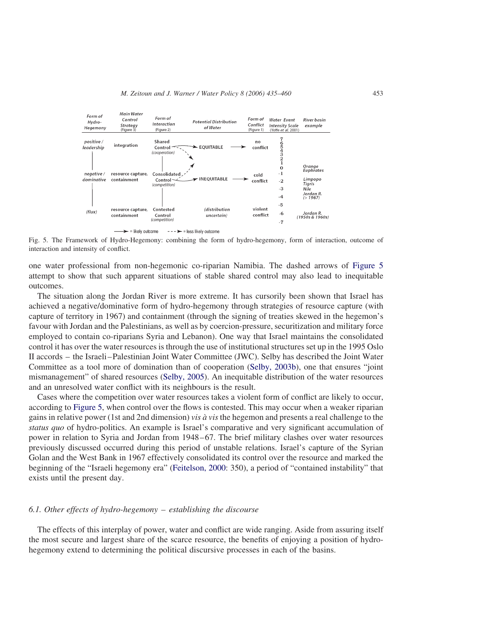<span id="page-18-0"></span>

Fig. 5. The Framework of Hydro-Hegemony: combining the form of hydro-hegemony, form of interaction, outcome of interaction and intensity of conflict.

one water professional from non-hegemonic co-riparian Namibia. The dashed arrows of Figure 5 attempt to show that such apparent situations of stable shared control may also lead to inequitable outcomes.

The situation along the Jordan River is more extreme. It has cursorily been shown that Israel has achieved a negative/dominative form of hydro-hegemony through strategies of resource capture (with capture of territory in 1967) and containment (through the signing of treaties skewed in the hegemon's favour with Jordan and the Palestinians, as well as by coercion-pressure, securitization and military force employed to contain co-riparians Syria and Lebanon). One way that Israel maintains the consolidated control it has over the water resources is through the use of institutional structures set up in the 1995 Oslo II accords – the Israeli–Palestinian Joint Water Committee (JWC). Selby has described the Joint Water Committee as a tool more of domination than of cooperation [\(Selby, 2003b](#page-23-0)), one that ensures "joint mismanagement" of shared resources [\(Selby, 2005\)](#page-23-0). An inequitable distribution of the water resources and an unresolved water conflict with its neighbours is the result.

Cases where the competition over water resources takes a violent form of conflict are likely to occur, according to Figure 5, when control over the flows is contested. This may occur when a weaker riparian gains in relative power (1st and 2nd dimension) *vis à vis* the hegemon and presents a real challenge to the status quo of hydro-politics. An example is Israel's comparative and very significant accumulation of power in relation to Syria and Jordan from 1948–67. The brief military clashes over water resources previously discussed occurred during this period of unstable relations. Israel's capture of the Syrian Golan and the West Bank in 1967 effectively consolidated its control over the resource and marked the beginning of the "Israeli hegemony era" [\(Feitelson, 2000](#page-22-0): 350), a period of "contained instability" that exists until the present day.

## 6.1. Other effects of hydro-hegemony – establishing the discourse

The effects of this interplay of power, water and conflict are wide ranging. Aside from assuring itself the most secure and largest share of the scarce resource, the benefits of enjoying a position of hydrohegemony extend to determining the political discursive processes in each of the basins.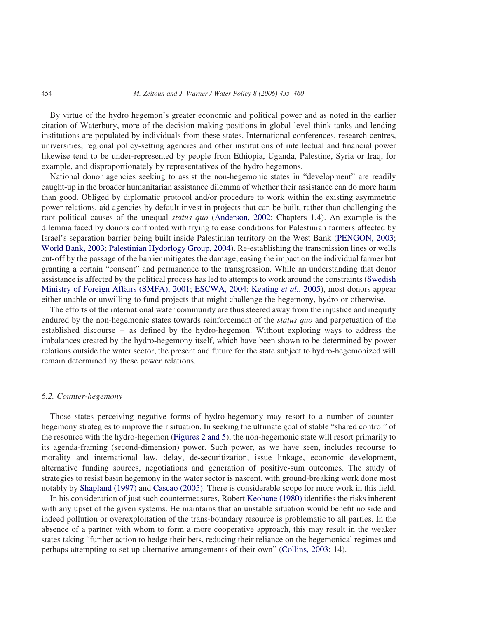#### 454 M. Zeitoun and J. Warner / Water Policy 8 (2006) 435–460

By virtue of the hydro hegemon's greater economic and political power and as noted in the earlier citation of Waterbury, more of the decision-making positions in global-level think-tanks and lending institutions are populated by individuals from these states. International conferences, research centres, universities, regional policy-setting agencies and other institutions of intellectual and financial power likewise tend to be under-represented by people from Ethiopia, Uganda, Palestine, Syria or Iraq, for example, and disproportionately by representatives of the hydro hegemons.

National donor agencies seeking to assist the non-hegemonic states in "development" are readily caught-up in the broader humanitarian assistance dilemma of whether their assistance can do more harm than good. Obliged by diplomatic protocol and/or procedure to work within the existing asymmetric power relations, aid agencies by default invest in projects that can be built, rather than challenging the root political causes of the unequal *status quo* ([Anderson, 2002:](#page-21-0) Chapters 1,4). An example is the dilemma faced by donors confronted with trying to ease conditions for Palestinian farmers affected by Israel's separation barrier being built inside Palestinian territory on the West Bank ([PENGON, 2003](#page-23-0); [World Bank, 2003](#page-24-0); [Palestinian Hydorlogy Group, 2004\)](#page-23-0). Re-establishing the transmission lines or wells cut-off by the passage of the barrier mitigates the damage, easing the impact on the individual farmer but granting a certain "consent" and permanence to the transgression. While an understanding that donor assistance is affected by the political process has led to attempts to work around the constraints [\(Swedish](#page-23-0) [Ministry of Foreign Affairs \(SMFA\), 2001](#page-23-0); [ESCWA, 2004;](#page-22-0) [Keating](#page-22-0) et al., 2005), most donors appear either unable or unwilling to fund projects that might challenge the hegemony, hydro or otherwise.

The efforts of the international water community are thus steered away from the injustice and inequity endured by the non-hegemonic states towards reinforcement of the *status quo* and perpetuation of the established discourse – as defined by the hydro-hegemon. Without exploring ways to address the imbalances created by the hydro-hegemony itself, which have been shown to be determined by power relations outside the water sector, the present and future for the state subject to hydro-hegemonized will remain determined by these power relations.

## 6.2. Counter-hegemony

Those states perceiving negative forms of hydro-hegemony may resort to a number of counterhegemony strategies to improve their situation. In seeking the ultimate goal of stable "shared control" of the resource with the hydro-hegemon ([Figures 2 and 5\)](#page-9-0), the non-hegemonic state will resort primarily to its agenda-framing (second-dimension) power. Such power, as we have seen, includes recourse to morality and international law, delay, de-securitization, issue linkage, economic development, alternative funding sources, negotiations and generation of positive-sum outcomes. The study of strategies to resist basin hegemony in the water sector is nascent, with ground-breaking work done most notably by [Shapland \(1997\)](#page-23-0) and [Cascao \(2005\).](#page-21-0) There is considerable scope for more work in this field.

In his consideration of just such countermeasures, Robert [Keohane \(1980\)](#page-22-0) identifies the risks inherent with any upset of the given systems. He maintains that an unstable situation would benefit no side and indeed pollution or overexploitation of the trans-boundary resource is problematic to all parties. In the absence of a partner with whom to form a more cooperative approach, this may result in the weaker states taking "further action to hedge their bets, reducing their reliance on the hegemonical regimes and perhaps attempting to set up alternative arrangements of their own" [\(Collins, 2003:](#page-21-0) 14).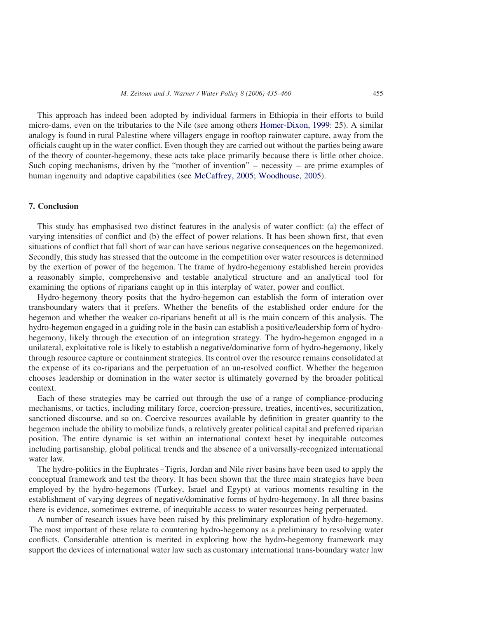This approach has indeed been adopted by individual farmers in Ethiopia in their efforts to build micro-dams, even on the tributaries to the Nile (see among others [Homer-Dixon, 1999](#page-22-0): 25). A similar analogy is found in rural Palestine where villagers engage in rooftop rainwater capture, away from the officials caught up in the water conflict. Even though they are carried out without the parties being aware of the theory of counter-hegemony, these acts take place primarily because there is little other choice. Such coping mechanisms, driven by the "mother of invention" – necessity – are prime examples of human ingenuity and adaptive capabilities (see [McCaffrey, 2005;](#page-23-0) [Woodhouse, 2005\)](#page-24-0).

# 7. Conclusion

This study has emphasised two distinct features in the analysis of water conflict: (a) the effect of varying intensities of conflict and (b) the effect of power relations. It has been shown first, that even situations of conflict that fall short of war can have serious negative consequences on the hegemonized. Secondly, this study has stressed that the outcome in the competition over water resources is determined by the exertion of power of the hegemon. The frame of hydro-hegemony established herein provides a reasonably simple, comprehensive and testable analytical structure and an analytical tool for examining the options of riparians caught up in this interplay of water, power and conflict.

Hydro-hegemony theory posits that the hydro-hegemon can establish the form of interation over transboundary waters that it prefers. Whether the benefits of the established order endure for the hegemon and whether the weaker co-riparians benefit at all is the main concern of this analysis. The hydro-hegemon engaged in a guiding role in the basin can establish a positive/leadership form of hydrohegemony, likely through the execution of an integration strategy. The hydro-hegemon engaged in a unilateral, exploitative role is likely to establish a negative/dominative form of hydro-hegemony, likely through resource capture or containment strategies. Its control over the resource remains consolidated at the expense of its co-riparians and the perpetuation of an un-resolved conflict. Whether the hegemon chooses leadership or domination in the water sector is ultimately governed by the broader political context.

Each of these strategies may be carried out through the use of a range of compliance-producing mechanisms, or tactics, including military force, coercion-pressure, treaties, incentives, securitization, sanctioned discourse, and so on. Coercive resources available by definition in greater quantity to the hegemon include the ability to mobilize funds, a relatively greater political capital and preferred riparian position. The entire dynamic is set within an international context beset by inequitable outcomes including partisanship, global political trends and the absence of a universally-recognized international water law.

The hydro-politics in the Euphrates–Tigris, Jordan and Nile river basins have been used to apply the conceptual framework and test the theory. It has been shown that the three main strategies have been employed by the hydro-hegemons (Turkey, Israel and Egypt) at various moments resulting in the establishment of varying degrees of negative/dominative forms of hydro-hegemony. In all three basins there is evidence, sometimes extreme, of inequitable access to water resources being perpetuated.

A number of research issues have been raised by this preliminary exploration of hydro-hegemony. The most important of these relate to countering hydro-hegemony as a preliminary to resolving water conflicts. Considerable attention is merited in exploring how the hydro-hegemony framework may support the devices of international water law such as customary international trans-boundary water law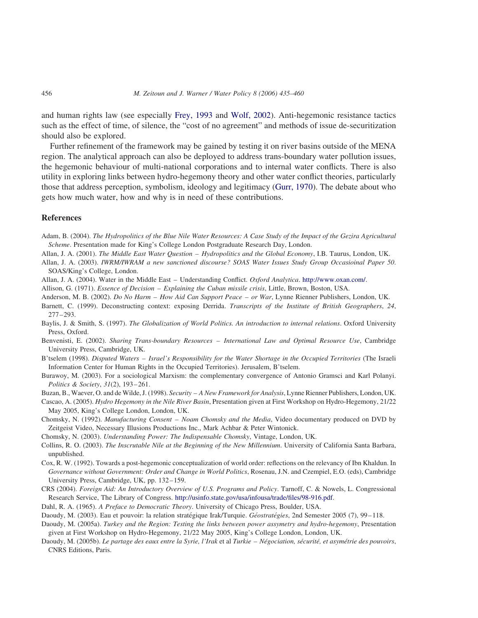<span id="page-21-0"></span>and human rights law (see especially [Frey, 1993](#page-22-0) and [Wolf, 2002\)](#page-24-0). Anti-hegemonic resistance tactics such as the effect of time, of silence, the "cost of no agreement" and methods of issue de-securitization should also be explored.

Further refinement of the framework may be gained by testing it on river basins outside of the MENA region. The analytical approach can also be deployed to address trans-boundary water pollution issues, the hegemonic behaviour of multi-national corporations and to internal water conflicts. There is also utility in exploring links between hydro-hegemony theory and other water conflict theories, particularly those that address perception, symbolism, ideology and legitimacy ([Gurr, 1970\)](#page-22-0). The debate about who gets how much water, how and why is in need of these contributions.

## References

- Adam, B. (2004). The Hydropolitics of the Blue Nile Water Resources: A Case Study of the Impact of the Gezira Agricultural Scheme. Presentation made for King's College London Postgraduate Research Day, London.
- Allan, J. A. (2001). The Middle East Water Question Hydropolitics and the Global Economy, I.B. Taurus, London, UK.
- Allan, J. A. (2003). IWRM/IWRAM a new sanctioned discourse? SOAS Water Issues Study Group Occasioinal Paper 50. SOAS/King's College, London.
- Allan, J. A. (2004). Water in the Middle East Understanding Conflict. Oxford Analytica. <http://www.oxan.com/>.
- Allison, G. (1971). *Essence of Decision Explaining the Cuban missile crisis*, Little, Brown, Boston, USA.
- Anderson, M. B. (2002). Do No Harm How Aid Can Support Peace or War, Lynne Rienner Publishers, London, UK.
- Barnett, C. (1999). Deconstructing context: exposing Derrida. Transcripts of the Institute of British Geographers, 24, 277–293.
- Baylis, J. & Smith, S. (1997). The Globalization of World Politics. An introduction to internal relations. Oxford University Press, Oxford.
- Benvenisti, E. (2002). Sharing Trans-boundary Resources International Law and Optimal Resource Use, Cambridge University Press, Cambridge, UK.
- B'tselem (1998). Disputed Waters Israel's Responsibility for the Water Shortage in the Occupied Territories (The Israeli Information Center for Human Rights in the Occupied Territories). Jerusalem, B'tselem.
- Burawoy, M. (2003). For a sociological Marxism: the complementary convergence of Antonio Gramsci and Karl Polanyi. Politics & Society, 31(2), 193–261.
- Buzan, B., Waever, O. and de Wilde, J. (1998). Security A New Framework for Analysis, Lynne Rienner Publishers, London, UK.
- Cascao, A. (2005). Hydro Hegemony in the Nile River Basin, Presentation given at First Workshop on Hydro-Hegemony, 21/22 May 2005, King's College London, London, UK.
- Chomsky, N. (1992). Manufacturing Consent Noam Chomsky and the Media, Video documentary produced on DVD by Zeitgeist Video, Necessary Illusions Productions Inc., Mark Achbar & Peter Wintonick.
- Chomsky, N. (2003). Understanding Power: The Indispensable Chomsky, Vintage, London, UK.
- Collins, R. O. (2003). The Inscrutable Nile at the Beginning of the New Millennium. University of California Santa Barbara, unpublished.
- Cox, R. W. (1992). Towards a post-hegemonic conceptualization of world order: reflections on the relevancy of Ibn Khaldun. In Governance without Government: Order and Change in World Politics, Rosenau, J.N. and Czempiel, E.O. (eds), Cambridge University Press, Cambridge, UK, pp. 132–159.
- CRS (2004). Foreign Aid: An Introductory Overview of U.S. Programs and Policy. Tarnoff, C. & Nowels, L. Congressional Research Service, The Library of Congress. <http://usinfo.state.gov/usa/infousa/trade/files/98-916.pdf>.
- Dahl, R. A. (1965). A Preface to Democratic Theory. University of Chicago Press, Boulder, USA.
- Daoudy, M. (2003). Eau et pouvoir: la relation stratégique Irak/Turquie. Géostratégies, 2nd Semester 2005 (7), 99-118.
- Daoudy, M. (2005a). Turkey and the Region: Testing the links between power assymetry and hydro-hegemony, Presentation given at First Workshop on Hydro-Hegemony, 21/22 May 2005, King's College London, London, UK.
- Daoudy, M. (2005b). Le partage des eaux entre la Syrie, l'Irak et al Turkie Négociation, sécurité, et asymétrie des pouvoirs, CNRS Editions, Paris.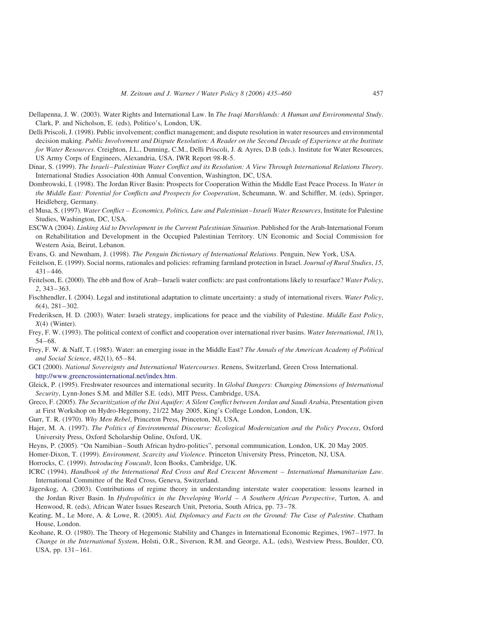- <span id="page-22-0"></span>Dellapenna, J. W. (2003). Water Rights and International Law. In The Iraqi Marshlands: A Human and Environmental Study. Clark, P. and Nicholson, E. (eds), Politico's, London, UK.
- Delli Priscoli, J. (1998). Public involvement; conflict management; and dispute resolution in water resources and environmental decision making. Public Involvement and Dispute Resolution: A Reader on the Second Decade of Experience at the Institute for Water Resources. Creighton, J.L., Dunning, C.M., Delli Priscoli, J. & Ayres, D.B (eds.). Institute for Water Resources, US Army Corps of Engineers, Alexandria, USA. IWR Report 98-R-5.
- Dinar, S. (1999). The Israeli–Palestinian Water Conflict and its Resolution: A View Through International Relations Theory. International Studies Association 40th Annual Convention, Washington, DC, USA.
- Dombrowski, I. (1998). The Jordan River Basin: Prospects for Cooperation Within the Middle East Peace Process. In Water in the Middle East: Potential for Conflicts and Prospects for Cooperation, Scheumann, W. and Schiffler, M. (eds), Springer, Heidleberg, Germany.
- el Musa, S. (1997). Water Conflict Economics, Politics, Law and Palestinian-Israeli Water Resources, Institute for Palestine Studies, Washington, DC, USA.
- ESCWA (2004). Linking Aid to Development in the Current Palestinian Situation. Published for the Arab-International Forum on Rehabilitation and Development in the Occupied Palestinian Territory. UN Economic and Social Commission for Western Asia, Beirut, Lebanon.

Evans, G. and Newnham, J. (1998). The Penguin Dictionary of International Relations. Penguin, New York, USA.

- Feitelson, E. (1999). Social norms, rationales and policies: reframing farmland protection in Israel. *Journal of Rural Studies*, 15, 431–446.
- Feitelson, E. (2000). The ebb and flow of Arab–Israeli water conflicts: are past confrontations likely to resurface? Water Policy, 2, 343–363.
- Fischhendler, I. (2004). Legal and institutional adaptation to climate uncertainty: a study of international rivers. Water Policy, 6(4), 281–302.
- Frederiksen, H. D. (2003). Water: Israeli strategy, implications for peace and the viability of Palestine. Middle East Policy,  $X(4)$  (Winter).
- Frey, F. W. (1993). The political context of conflict and cooperation over international river basins. Water International, 18(1), 54–68.
- Frey, F. W. & Naff, T. (1985). Water: an emerging issue in the Middle East? The Annals of the American Academy of Political and Social Science, 482(1), 65–84.
- GCI (2000). National Sovereignty and International Watercourses. Renens, Switzerland, Green Cross International. [http://www.greencrossinternational.net/index.htm.](http://www.greencrossinternational.net/index.htm)
- Gleick, P. (1995). Freshwater resources and international security. In Global Dangers: Changing Dimensions of International Security, Lynn-Jones S.M. and Miller S.E. (eds), MIT Press, Cambridge, USA.
- Greco, F. (2005). The Securitization of the Disi Aquifer: A Silent Conflict between Jordan and Saudi Arabia, Presentation given at First Workshop on Hydro-Hegemony, 21/22 May 2005, King's College London, London, UK.
- Gurr, T. R. (1970). Why Men Rebel, Princeton Press, Princeton, NJ, USA.
- Hajer, M. A. (1997). The Politics of Environmental Discourse: Ecological Modernization and the Policy Process, Oxford University Press, Oxford Scholarship Online, Oxford, UK.
- Heyns, P. (2005). "On Namibian–South African hydro-politics", personal communication, London, UK. 20 May 2005.
- Homer-Dixon, T. (1999). Environment, Scarcity and Violence. Princeton University Press, Princeton, NJ, USA.
- Horrocks, C. (1999). Introducing Foucault, Icon Books, Cambridge, UK.
- ICRC (1994). Handbook of the International Red Cross and Red Crescent Movement International Humanitarian Law. International Committee of the Red Cross, Geneva, Switzerland.
- Jägerskog, A. (2003). Contributions of regime theory in understanding interstate water cooperation: lessons learned in the Jordan River Basin. In Hydropolitics in the Developing World - A Southern African Perspective, Turton, A. and Henwood, R. (eds), African Water Issues Research Unit, Pretoria, South Africa, pp. 73–78.
- Keating, M., Le More, A. & Lowe, R. (2005). Aid, Diplomacy and Facts on the Ground: The Case of Palestine. Chatham House, London.
- Keohane, R. O. (1980). The Theory of Hegemonic Stability and Changes in International Economic Regimes, 1967–1977. In Change in the International System, Holsti, O.R., Siverson, R.M. and George, A.L. (eds), Westview Press, Boulder, CO, USA, pp. 131–161.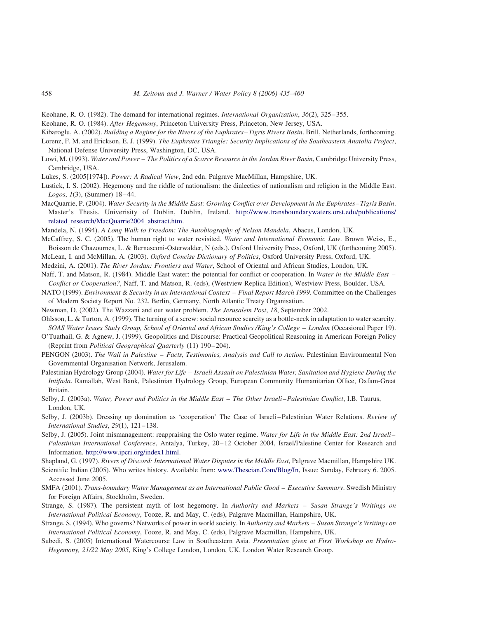- <span id="page-23-0"></span>Keohane, R. O. (1982). The demand for international regimes. *International Organization*, 36(2), 325–355.
- Keohane, R. O. (1984). After Hegemony, Princeton University Press, Princeton, New Jersey, USA.
- Kibaroglu, A. (2002). Building a Regime for the Rivers of the Euphrates–Tigris Rivers Basin. Brill, Netherlands, forthcoming.
- Lorenz, F. M. and Erickson, E. J. (1999). The Euphrates Triangle: Security Implications of the Southeastern Anatolia Project, National Defense University Press, Washington, DC, USA.
- Lowi, M. (1993). Water and Power The Politics of a Scarce Resource in the Jordan River Basin, Cambridge University Press, Cambridge, USA.
- Lukes, S. (2005[1974]). Power: A Radical View, 2nd edn. Palgrave MacMillan, Hampshire, UK.
- Lustick, I. S. (2002). Hegemony and the riddle of nationalism: the dialectics of nationalism and religion in the Middle East. Logos, 1(3), (Summer) 18–44.
- MacQuarrie, P. (2004). Water Security in the Middle East: Growing Conflict over Development in the Euphrates–Tigris Basin. Master's Thesis. Univerisity of Dublin, Dublin, Ireland. [http://www.transboundarywaters.orst.edu/publications/](http://www.transboundarywaters.orst.edu/publications/related_research/macquarrie2004_abstract.htm) [related\\_research/MacQuarrie2004\\_abstract.htm.](http://www.transboundarywaters.orst.edu/publications/related_research/macquarrie2004_abstract.htm)
- Mandela, N. (1994). A Long Walk to Freedom: The Autobiography of Nelson Mandela, Abacus, London, UK.
- McCaffrey, S. C. (2005). The human right to water revisited. Water and International Economic Law. Brown Weiss, E., Boisson de Chazournes, L. & Bernasconi-Osterwalder, N (eds.). Oxford University Press, Oxford, UK (forthcoming 2005).
- McLean, I. and McMillan, A. (2003). Oxford Concise Dictionary of Politics, Oxford University Press, Oxford, UK.
- Medzini, A. (2001). The River Jordan: Frontiers and Water, School of Oriental and African Studies, London, UK.
- Naff, T. and Matson, R. (1984). Middle East water: the potential for conflict or cooperation. In Water in the Middle East Conflict or Cooperation?, Naff, T. and Matson, R. (eds), (Westview Replica Edition), Westview Press, Boulder, USA.
- NATO (1999). Environment & Security in an International Context Final Report March 1999. Committee on the Challenges of Modern Society Report No. 232. Berlin, Germany, North Atlantic Treaty Organisation.
- Newman, D. (2002). The Wazzani and our water problem. The Jerusalem Post, 18, September 2002.
- Ohlsson, L. & Turton, A. (1999). The turning of a screw: social resource scarcity as a bottle-neck in adaptation to water scarcity. SOAS Water Issues Study Group, School of Oriental and African Studies /King's College – London (Occasional Paper 19).
- O'Tuathail, G. & Agnew, J. (1999). Geopolitics and Discourse: Practical Geopolitical Reasoning in American Foreign Policy (Reprint from Political Geographical Quarterly (11) 190–204).
- PENGON (2003). The Wall in Palestine Facts, Testimonies, Analysis and Call to Action. Palestinian Environmental Non Governmental Organisation Network, Jerusalem.
- Palestinian Hydrology Group (2004). Water for Life Israeli Assault on Palestinian Water, Sanitation and Hygiene During the Intifada. Ramallah, West Bank, Palestinian Hydrology Group, European Community Humanitarian Office, Oxfam-Great Britain.
- Selby, J. (2003a). Water, Power and Politics in the Middle East The Other Israeli-Palestinian Conflict, I.B. Taurus, London, UK.
- Selby, J. (2003b). Dressing up domination as 'cooperation' The Case of Israeli-Palestinian Water Relations. Review of International Studies, 29(1), 121–138.
- Selby, J. (2005). Joint mismanagement: reappraising the Oslo water regime. Water for Life in the Middle East: 2nd Israeli– Palestinian International Conference, Antalya, Turkey, 20–12 October 2004, Israel/Palestine Center for Research and Information. <http://www.ipcri.org/index1.html>.
- Shapland, G. (1997). Rivers of Discord: International Water Disputes in the Middle East, Palgrave Macmillan, Hampshire UK.
- Scientific Indian (2005). Who writes history. Available from: [www.Thescian.Com/Blog/In,](www.thescian.com/blog/in) Issue: Sunday, February 6. 2005. Accessed June 2005.
- SMFA (2001). Trans-boundary Water Management as an International Public Good Executive Summary. Swedish Ministry for Foreign Affairs, Stockholm, Sweden.
- Strange, S. (1987). The persistent myth of lost hegemony. In Authority and Markets Susan Strange's Writings on International Political Economy, Tooze, R. and May, C. (eds), Palgrave Macmillan, Hampshire, UK.
- Strange, S. (1994). Who governs? Networks of power in world society. In Authority and Markets Susan Strange's Writings on International Political Economy, Tooze, R. and May, C. (eds), Palgrave Macmillan, Hampshire, UK.
- Subedi, S. (2005) International Watercourse Law in Southeastern Asia. Presentation given at First Workshop on Hydro-Hegemony, 21/22 May 2005, King's College London, London, UK, London Water Research Group.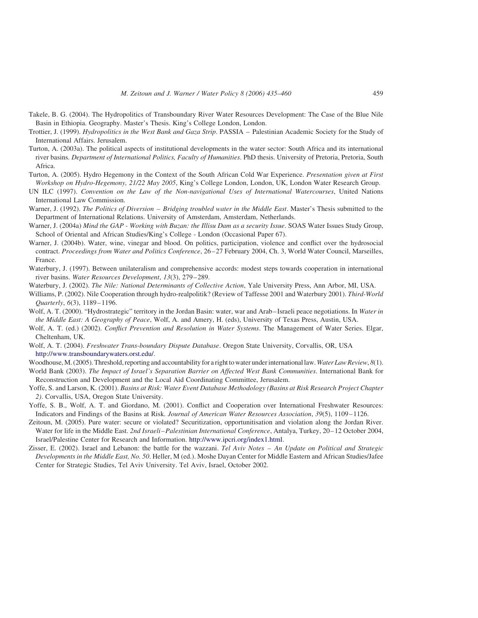- <span id="page-24-0"></span>Takele, B. G. (2004). The Hydropolitics of Transboundary River Water Resources Development: The Case of the Blue Nile Basin in Ethiopia. Geography. Master's Thesis. King's College London, London.
- Trottier, J. (1999). *Hydropolitics in the West Bank and Gaza Strip*. PASSIA Palestinian Academic Society for the Study of International Affairs. Jerusalem.
- Turton, A. (2003a). The political aspects of institutional developments in the water sector: South Africa and its international river basins. Department of International Politics, Faculty of Humanities. PhD thesis. University of Pretoria, Pretoria, South Africa.
- Turton, A. (2005). Hydro Hegemony in the Context of the South African Cold War Experience. Presentation given at First Workshop on Hydro-Hegemony, 21/22 May 2005, King's College London, London, UK, London Water Research Group.
- UN ILC (1997). Convention on the Law of the Non-navigational Uses of International Watercourses, United Nations International Law Commission.
- Warner, J. (1992). The Politics of Diversion Bridging troubled water in the Middle East. Master's Thesis submitted to the Department of International Relations. University of Amsterdam, Amsterdam, Netherlands.
- Warner, J. (2004a) Mind the GAP Working with Buzan: the Illisu Dam as a security Issue. SOAS Water Issues Study Group, School of Oriental and African Studies/King's College - London (Occasional Paper 67).
- Warner, J. (2004b). Water, wine, vinegar and blood. On politics, participation, violence and conflict over the hydrosocial contract. Proceedings from Water and Politics Conference, 26–27 February 2004, Ch. 3, World Water Council, Marseilles, France.
- Waterbury, J. (1997). Between unilateralism and comprehensive accords: modest steps towards cooperation in international river basins. Water Resources Development, 13(3), 279–289.
- Waterbury, J. (2002). The Nile: National Determinants of Collective Action, Yale University Press, Ann Arbor, MI, USA.
- Williams, P. (2002). Nile Cooperation through hydro-realpolitik? (Review of Taffesse 2001 and Waterbury 2001). Third-World Quarterly, 6(3), 1189–1196.
- Wolf, A. T. (2000). "Hydrostrategic" territory in the Jordan Basin: water, war and Arab–Israeli peace negotiations. In Water in the Middle East: A Geography of Peace, Wolf, A. and Amery, H. (eds), University of Texas Press, Austin, USA.
- Wolf, A. T. (ed.) (2002). Conflict Prevention and Resolution in Water Systems. The Management of Water Series. Elgar, Cheltenham, UK.
- Wolf, A. T. (2004). *Freshwater Trans-boundary Dispute Database*. Oregon State University, Corvallis, OR, USA <http://www.transboundarywaters.orst.edu/>.
- Woodhouse, M. (2005). Threshold, reporting and accountability for a right to water under international law. Water Law Review, 8(1).
- World Bank (2003). The Impact of Israel's Separation Barrier on Affected West Bank Communities. International Bank for Reconstruction and Development and the Local Aid Coordinating Committee, Jerusalem.
- Yoffe, S. and Larson, K. (2001). Basins at Risk: Water Event Database Methodology (Basins at Risk Research Project Chapter 2). Corvallis, USA, Oregon State University.
- Yoffe, S. B., Wolf, A. T. and Giordano, M. (2001). Conflict and Cooperation over International Freshwater Resources: Indicators and Findings of the Basins at Risk. Journal of American Water Resources Association, 39(5), 1109–1126.
- Zeitoun, M. (2005). Pure water: secure or violated? Securitization, opportunitisation and violation along the Jordan River. Water for life in the Middle East. 2nd Israeli–Palestinian International Conference, Antalya, Turkey, 20–12 October 2004, Israel/Palestine Center for Research and Information. [http://www.ipcri.org/index1.html.](http://www.ipcri.org/index1.html)
- Zisser, E. (2002). Israel and Lebanon: the battle for the wazzani. Tel Aviv Notes An Update on Political and Strategic Developments in the Middle East, No. 50. Heller, M (ed.). Moshe Dayan Center for Middle Eastern and African Studies/Jafee Center for Strategic Studies, Tel Aviv University. Tel Aviv, Israel, October 2002.